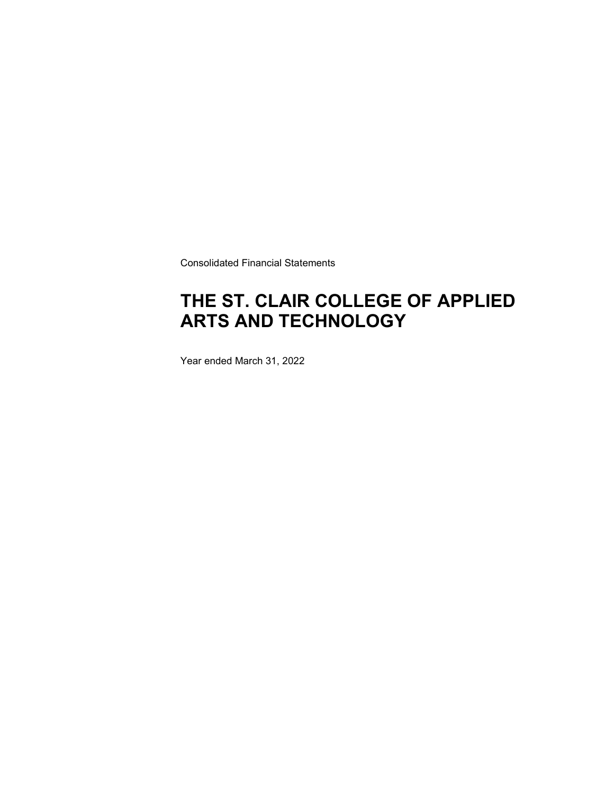Consolidated Financial Statements

### **THE ST. CLAIR COLLEGE OF APPLIED ARTS AND TECHNOLOGY**

Year ended March 31, 2022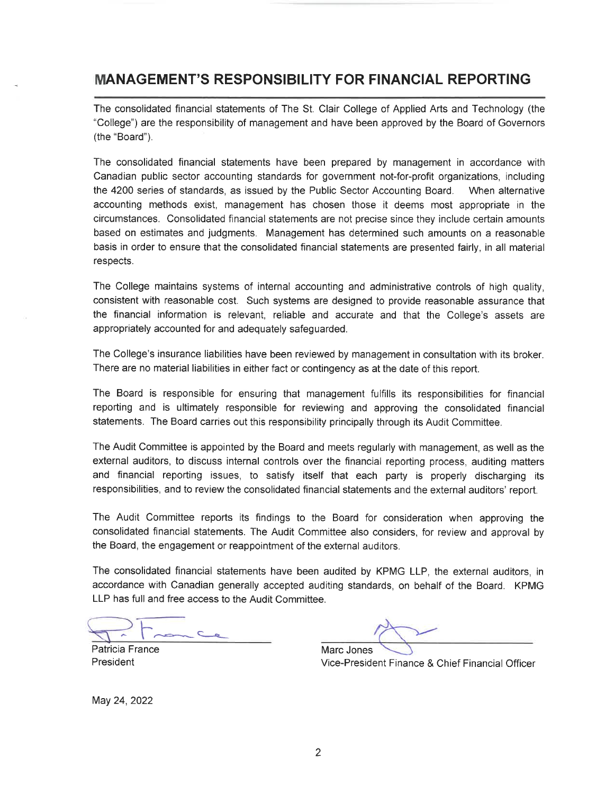### **MANAGEMENT'S RESPONSIBILITY FOR FINANCIAL REPORTING**

The consolidated financial statements of The St. Clair College of Applied Arts and Technology (the "College") are the responsibility of management and have been approved by the Board of Governors (the "Board").

The consolidated financial statements have been prepared by management in accordance with Canadian public sector accounting standards for government not-for-profit organizations, including the 4200 series of standards, as issued by the Public Sector Accounting Board. When alternative accounting methods exist, management has chosen those it deems most appropriate in the circumstances. Consolidated financial statements are not precise since they include certain amounts based on estimates and judgments. Management has determined such amounts on a reasonable basis in order to ensure that the consolidated financial statements are presented fairly, in all material respects.

The College maintains systems of internal accounting and administrative controls of high quality. consistent with reasonable cost. Such systems are designed to provide reasonable assurance that the financial information is relevant, reliable and accurate and that the College's assets are appropriately accounted for and adequately safeguarded.

The College's insurance liabilities have been reviewed by management in consultation with its broker. There are no material liabilities in either fact or contingency as at the date of this report.

The Board is responsible for ensuring that management fulfills its responsibilities for financial reporting and is ultimately responsible for reviewing and approving the consolidated financial statements. The Board carries out this responsibility principally through its Audit Committee.

The Audit Committee is appointed by the Board and meets regularly with management, as well as the external auditors, to discuss internal controls over the financial reporting process, auditing matters and financial reporting issues, to satisfy itself that each party is properly discharging its responsibilities, and to review the consolidated financial statements and the external auditors' report.

The Audit Committee reports its findings to the Board for consideration when approving the consolidated financial statements. The Audit Committee also considers, for review and approval by the Board, the engagement or reappointment of the external auditors.

The consolidated financial statements have been audited by KPMG LLP, the external auditors, in accordance with Canadian generally accepted auditing standards, on behalf of the Board. KPMG LLP has full and free access to the Audit Committee.

Patricia France President

Marc Jones Vice-President Finance & Chief Financial Officer

May 24, 2022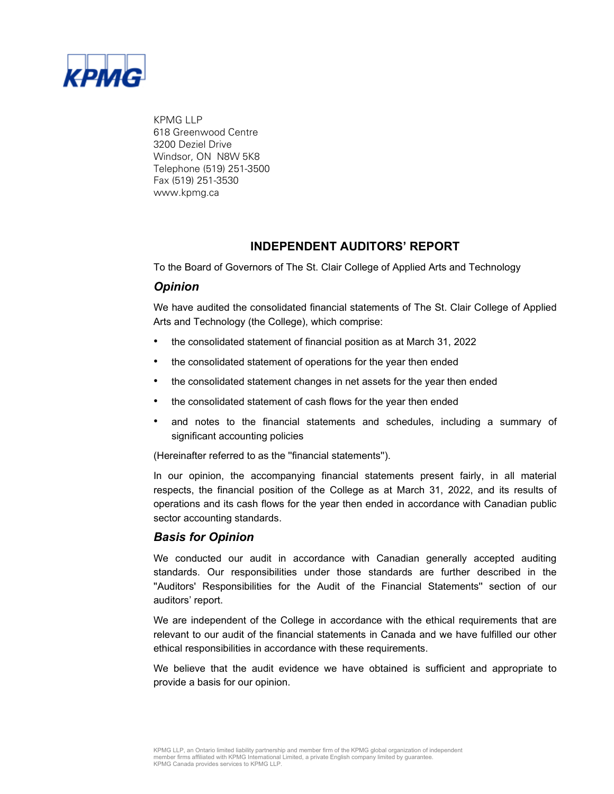

KPMG LLP 618 Greenwood Centre 3200 Deziel Drive Windsor, ON N8W 5K8 Telephone (519) 251-3500 Fax (519) 251-3530 www.kpmg.ca

### **INDEPENDENT AUDITORS' REPORT**

To the Board of Governors of The St. Clair College of Applied Arts and Technology

### *Opinion*

We have audited the consolidated financial statements of The St. Clair College of Applied Arts and Technology (the College), which comprise:

- the consolidated statement of financial position as at March 31, 2022
- the consolidated statement of operations for the year then ended
- the consolidated statement changes in net assets for the year then ended
- the consolidated statement of cash flows for the year then ended
- and notes to the financial statements and schedules, including a summary of significant accounting policies

(Hereinafter referred to as the ''financial statements'').

In our opinion, the accompanying financial statements present fairly, in all material respects, the financial position of the College as at March 31, 2022, and its results of operations and its cash flows for the year then ended in accordance with Canadian public sector accounting standards.

### *Basis for Opinion*

We conducted our audit in accordance with Canadian generally accepted auditing standards. Our responsibilities under those standards are further described in the ''Auditors' Responsibilities for the Audit of the Financial Statements'' section of our auditors' report.

We are independent of the College in accordance with the ethical requirements that are relevant to our audit of the financial statements in Canada and we have fulfilled our other ethical responsibilities in accordance with these requirements.

We believe that the audit evidence we have obtained is sufficient and appropriate to provide a basis for our opinion.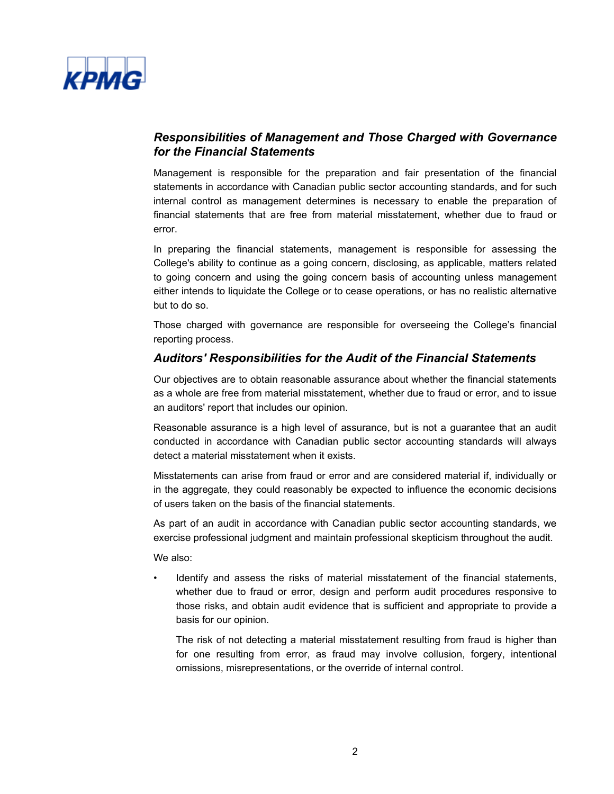

### *Responsibilities of Management and Those Charged with Governance for the Financial Statements*

Management is responsible for the preparation and fair presentation of the financial statements in accordance with Canadian public sector accounting standards, and for such internal control as management determines is necessary to enable the preparation of financial statements that are free from material misstatement, whether due to fraud or error.

In preparing the financial statements, management is responsible for assessing the College's ability to continue as a going concern, disclosing, as applicable, matters related to going concern and using the going concern basis of accounting unless management either intends to liquidate the College or to cease operations, or has no realistic alternative but to do so.

Those charged with governance are responsible for overseeing the College's financial reporting process.

### *Auditors' Responsibilities for the Audit of the Financial Statements*

Our objectives are to obtain reasonable assurance about whether the financial statements as a whole are free from material misstatement, whether due to fraud or error, and to issue an auditors' report that includes our opinion.

Reasonable assurance is a high level of assurance, but is not a guarantee that an audit conducted in accordance with Canadian public sector accounting standards will always detect a material misstatement when it exists.

Misstatements can arise from fraud or error and are considered material if, individually or in the aggregate, they could reasonably be expected to influence the economic decisions of users taken on the basis of the financial statements.

As part of an audit in accordance with Canadian public sector accounting standards, we exercise professional judgment and maintain professional skepticism throughout the audit.

We also:

• Identify and assess the risks of material misstatement of the financial statements, whether due to fraud or error, design and perform audit procedures responsive to those risks, and obtain audit evidence that is sufficient and appropriate to provide a basis for our opinion.

The risk of not detecting a material misstatement resulting from fraud is higher than for one resulting from error, as fraud may involve collusion, forgery, intentional omissions, misrepresentations, or the override of internal control.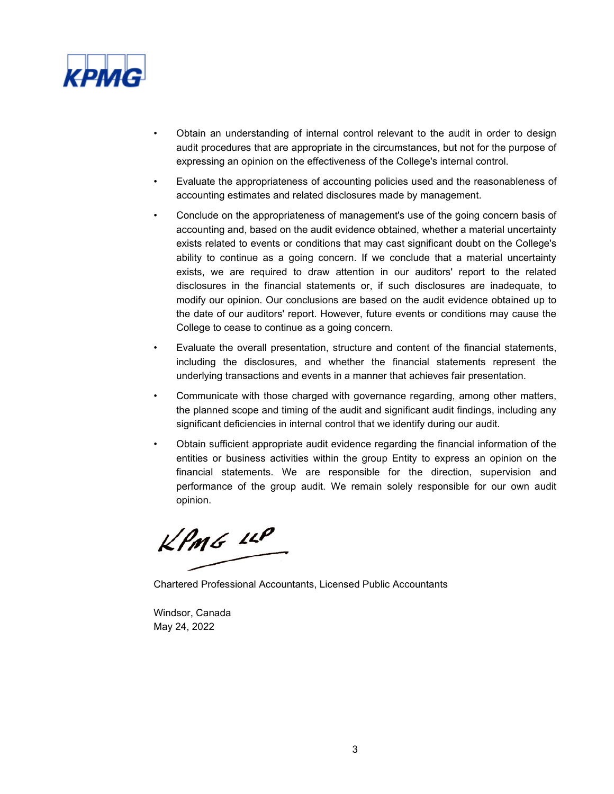

- Obtain an understanding of internal control relevant to the audit in order to design audit procedures that are appropriate in the circumstances, but not for the purpose of expressing an opinion on the effectiveness of the College's internal control.
- Evaluate the appropriateness of accounting policies used and the reasonableness of accounting estimates and related disclosures made by management.
- Conclude on the appropriateness of management's use of the going concern basis of accounting and, based on the audit evidence obtained, whether a material uncertainty exists related to events or conditions that may cast significant doubt on the College's ability to continue as a going concern. If we conclude that a material uncertainty exists, we are required to draw attention in our auditors' report to the related disclosures in the financial statements or, if such disclosures are inadequate, to modify our opinion. Our conclusions are based on the audit evidence obtained up to the date of our auditors' report. However, future events or conditions may cause the College to cease to continue as a going concern.
- Evaluate the overall presentation, structure and content of the financial statements, including the disclosures, and whether the financial statements represent the underlying transactions and events in a manner that achieves fair presentation.
- Communicate with those charged with governance regarding, among other matters, the planned scope and timing of the audit and significant audit findings, including any significant deficiencies in internal control that we identify during our audit.
- Obtain sufficient appropriate audit evidence regarding the financial information of the entities or business activities within the group Entity to express an opinion on the financial statements. We are responsible for the direction, supervision and performance of the group audit. We remain solely responsible for our own audit opinion.

 $KPMG$  14P

Chartered Professional Accountants, Licensed Public Accountants

Windsor, Canada May 24, 2022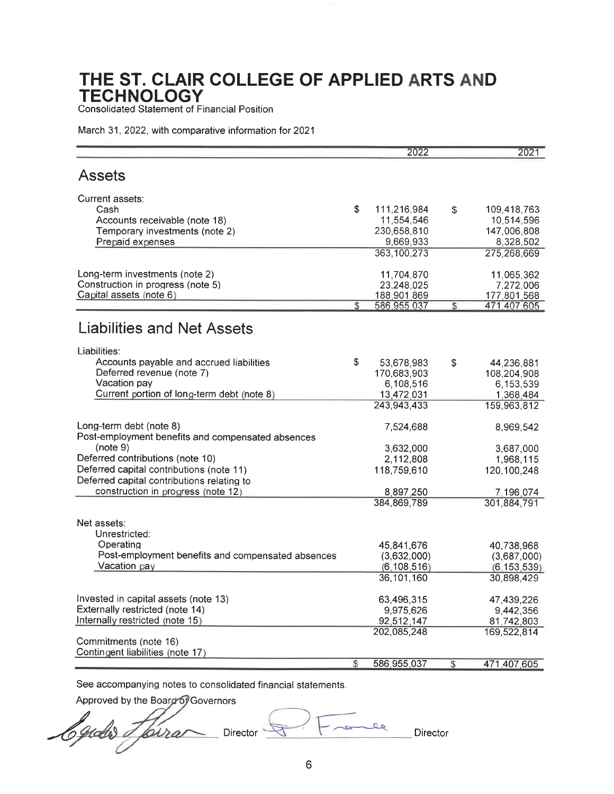**Consolidated Statement of Financial Position** 

March 31, 2022, with comparative information for 2021

|                                                   |              | 2022          | 2021              |
|---------------------------------------------------|--------------|---------------|-------------------|
| <b>Assets</b>                                     |              |               |                   |
| Current assets:                                   |              |               |                   |
| Cash                                              | \$           | 111,216,984   | \$<br>109,418,763 |
| Accounts receivable (note 18)                     |              | 11,554,546    | 10,514,596        |
| Temporary investments (note 2)                    |              | 230,658,810   | 147,006,808       |
| Prepaid expenses                                  |              | 9,669,933     | 8,328,502         |
|                                                   |              | 363, 100, 273 | 275,268,669       |
| Long-term investments (note 2)                    |              | 11,704,870    | 11,065,362        |
| Construction in progress (note 5)                 |              | 23,248,025    | 7,272,006         |
| Capital assets (note 6)                           |              | 188,901,869   | 177,801,568       |
|                                                   | \$           | 586,955,037   | \$<br>471,407,605 |
| Liabilities and Net Assets                        |              |               |                   |
| Liabilities:                                      |              |               |                   |
| Accounts payable and accrued liabilities          | \$           | 53,678,983    | \$<br>44,236,881  |
| Deferred revenue (note 7)                         |              | 170,683,903   | 108,204,908       |
| Vacation pay                                      |              | 6,108,516     | 6,153,539         |
| Current portion of long-term debt (note 8)        |              | 13,472,031    | 1,368,484         |
|                                                   |              | 243,943,433   | 159,963,812       |
| Long-term debt (note 8)                           |              | 7,524,688     | 8,969,542         |
| Post-employment benefits and compensated absences |              |               |                   |
| (note 9)                                          |              | 3,632,000     | 3,687,000         |
| Deferred contributions (note 10)                  |              | 2,112,808     | 1,968,115         |
| Deferred capital contributions (note 11)          |              | 118,759,610   | 120,100,248       |
| Deferred capital contributions relating to        |              |               |                   |
| construction in progress (note 12)                |              | 8,897,250     | 7,196,074         |
|                                                   |              | 384,869,789   | 301,884,791       |
| Net assets:                                       |              |               |                   |
| Unrestricted:                                     |              |               |                   |
| Operating                                         |              | 45,841,676    | 40,738,968        |
| Post-employment benefits and compensated absences |              | (3,632,000)   | (3,687,000)       |
| Vacation pay                                      |              | (6, 108, 516) | (6, 153, 539)     |
|                                                   |              | 36,101,160    | 30,898,429        |
| Invested in capital assets (note 13)              |              | 63,496,315    | 47,439,226        |
| Externally restricted (note 14)                   |              | 9,975,626     | 9,442,356         |
| Internally restricted (note 15)                   |              | 92,512,147    | 81,742,803        |
|                                                   |              | 202,085,248   | 169,522,814       |
| Commitments (note 16)                             |              |               |                   |
| Contingent liabilities (note 17)                  | $\mathbb{S}$ |               |                   |
|                                                   |              | 586,955,037   | \$<br>471,407,605 |

See accompanying notes to consolidated financial statements.

Approved by the Board of Governors

Egidis I fóirei Director<sup>5</sup>

فع Director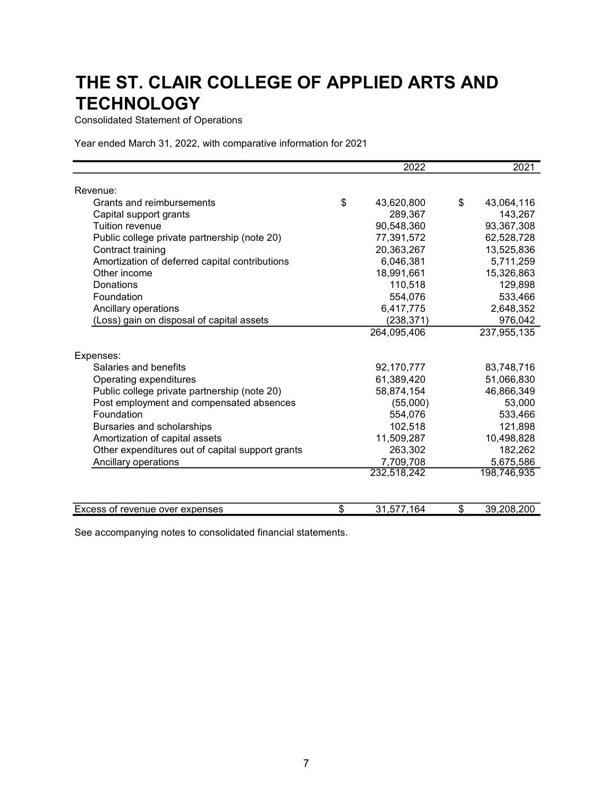Consolidated Statement of Operations

Year ended March 31, 2022, with comparative information for 2021

|                                                  | 2022             | 2021             |
|--------------------------------------------------|------------------|------------------|
| Revenue:                                         |                  |                  |
| Grants and reimbursements                        | \$<br>43,620,800 | \$<br>43,064,116 |
| Capital support grants                           | 289,367          | 143,267          |
| Tuition revenue                                  | 90,548,360       | 93,367,308       |
| Public college private partnership (note 20)     | 77,391,572       | 62,528,728       |
| Contract training                                | 20,363,267       | 13,525,836       |
| Amortization of deferred capital contributions   | 6,046,381        | 5,711,259        |
| Other income                                     | 18,991,661       | 15,326,863       |
| Donations                                        | 110,518          | 129,898          |
| Foundation                                       | 554,076          | 533,466          |
| Ancillary operations                             | 6,417,775        | 2,648,352        |
| (Loss) gain on disposal of capital assets        | (238, 371)       | 976,042          |
|                                                  | 264,095,406      | 237,955,135      |
|                                                  |                  |                  |
| Expenses:                                        |                  |                  |
| Salaries and benefits                            | 92,170,777       | 83,748,716       |
| Operating expenditures                           | 61,389,420       | 51,066,830       |
| Public college private partnership (note 20)     | 58,874,154       | 46,866,349       |
| Post employment and compensated absences         | (55,000)         | 53,000           |
| Foundation                                       | 554,076          | 533,466          |
| Bursaries and scholarships                       | 102,518          | 121,898          |
| Amortization of capital assets                   | 11,509,287       | 10,498,828       |
| Other expenditures out of capital support grants | 263,302          | 182,262          |
| Ancillary operations                             | 7,709,708        | 5,675,586        |
|                                                  | 232,518,242      | 198,746,935      |
|                                                  |                  |                  |
| Excess of revenue over expenses                  | \$<br>31,577,164 | \$<br>39,208,200 |

See accompanying notes to consolidated financial statements.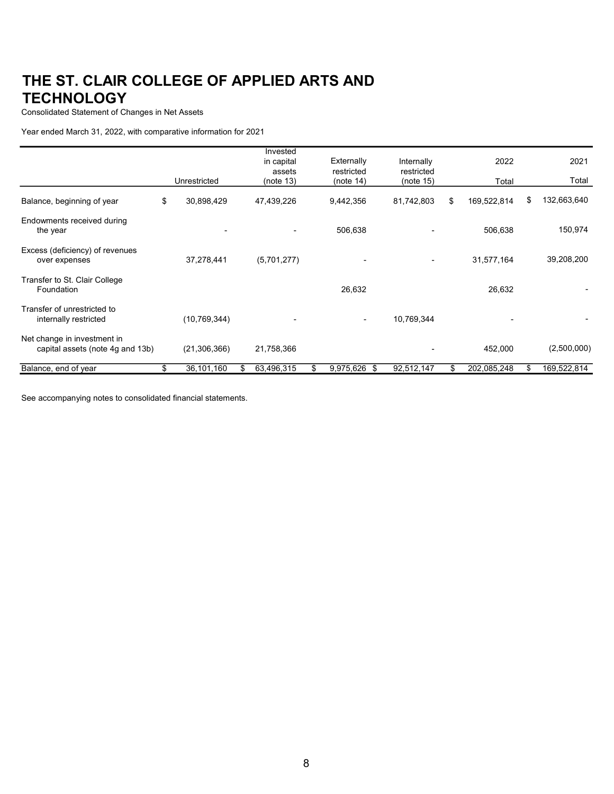Consolidated Statement of Changes in Net Assets

Year ended March 31, 2022, with comparative information for 2021

|                                                                 |                  |    | Invested<br>in capital | Externally      |     | Internally | 2022              |    | 2021        |
|-----------------------------------------------------------------|------------------|----|------------------------|-----------------|-----|------------|-------------------|----|-------------|
|                                                                 |                  |    | assets                 | restricted      |     | restricted |                   |    |             |
|                                                                 | Unrestricted     |    | (note 13)              | (note 14)       |     | (note 15)  | Total             |    | Total       |
| Balance, beginning of year                                      | \$<br>30,898,429 |    | 47,439,226             | 9,442,356       |     | 81,742,803 | \$<br>169,522,814 | \$ | 132,663,640 |
| Endowments received during<br>the year                          |                  |    |                        | 506,638         |     |            | 506,638           |    | 150,974     |
| Excess (deficiency) of revenues<br>over expenses                | 37,278,441       |    | (5,701,277)            |                 |     |            | 31,577,164        |    | 39,208,200  |
| Transfer to St. Clair College<br>Foundation                     |                  |    |                        | 26,632          |     |            | 26,632            |    |             |
| Transfer of unrestricted to<br>internally restricted            | (10, 769, 344)   |    |                        |                 |     | 10,769,344 |                   |    |             |
| Net change in investment in<br>capital assets (note 4g and 13b) | (21, 306, 366)   |    | 21,758,366             |                 |     |            | 452,000           |    | (2,500,000) |
| Balance, end of year                                            | \$<br>36,101,160 | S. | 63,496,315             | \$<br>9,975,626 | -\$ | 92,512,147 | \$<br>202,085,248 | S  | 169,522,814 |

See accompanying notes to consolidated financial statements.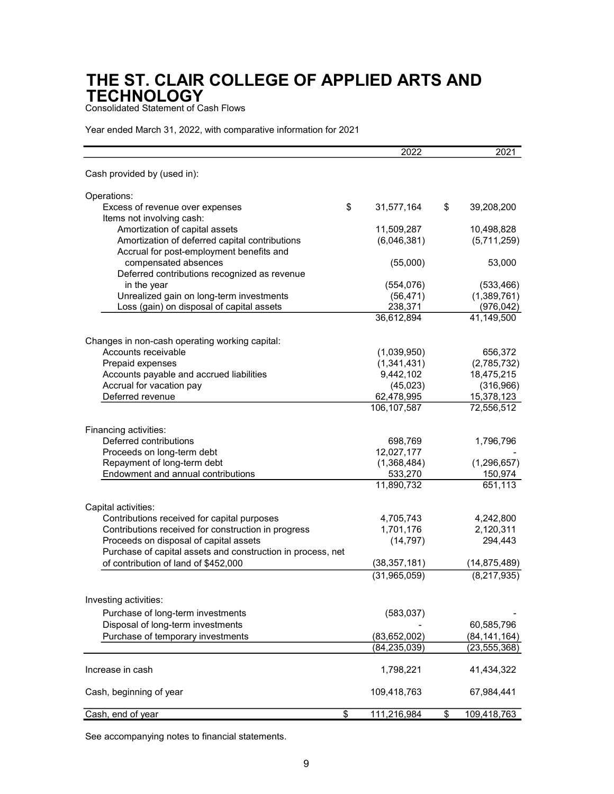Consolidated Statement of Cash Flows

Year ended March 31, 2022, with comparative information for 2021

| Cash provided by (used in):<br>Operations:<br>Excess of revenue over expenses<br>\$<br>31,577,164<br>\$<br>39,208,200<br>Items not involving cash:<br>Amortization of capital assets<br>11,509,287 |                           |
|----------------------------------------------------------------------------------------------------------------------------------------------------------------------------------------------------|---------------------------|
|                                                                                                                                                                                                    |                           |
|                                                                                                                                                                                                    |                           |
|                                                                                                                                                                                                    |                           |
|                                                                                                                                                                                                    |                           |
|                                                                                                                                                                                                    | 10,498,828                |
| Amortization of deferred capital contributions<br>(6,046,381)                                                                                                                                      | (5,711,259)               |
| Accrual for post-employment benefits and                                                                                                                                                           |                           |
| compensated absences<br>(55,000)                                                                                                                                                                   | 53,000                    |
| Deferred contributions recognized as revenue                                                                                                                                                       |                           |
| (554, 076)<br>in the year                                                                                                                                                                          | (533, 466)                |
| Unrealized gain on long-term investments<br>(56, 471)<br>Loss (gain) on disposal of capital assets<br>238,371                                                                                      | (1,389,761)<br>(976, 042) |
| 36,612,894<br>41,149,500                                                                                                                                                                           |                           |
|                                                                                                                                                                                                    |                           |
| Changes in non-cash operating working capital:                                                                                                                                                     |                           |
| Accounts receivable<br>(1,039,950)                                                                                                                                                                 | 656,372                   |
| Prepaid expenses<br>(1,341,431)                                                                                                                                                                    | (2,785,732)               |
| 9,442,102<br>Accounts payable and accrued liabilities                                                                                                                                              | 18,475,215                |
| Accrual for vacation pay<br>(45,023)                                                                                                                                                               | (316,966)                 |
| Deferred revenue<br>62,478,995                                                                                                                                                                     | 15,378,123                |
| 106, 107, 587<br>72,556,512                                                                                                                                                                        |                           |
| Financing activities:                                                                                                                                                                              |                           |
| Deferred contributions<br>698,769                                                                                                                                                                  | 1,796,796                 |
| 12,027,177<br>Proceeds on long-term debt                                                                                                                                                           |                           |
| (1,368,484)<br>Repayment of long-term debt                                                                                                                                                         | (1, 296, 657)             |
| Endowment and annual contributions<br>533,270                                                                                                                                                      | 150,974                   |
| 11,890,732                                                                                                                                                                                         | 651,113                   |
|                                                                                                                                                                                                    |                           |
| Capital activities:                                                                                                                                                                                |                           |
| Contributions received for capital purposes<br>4,705,743                                                                                                                                           | 4,242,800                 |
| Contributions received for construction in progress<br>1,701,176                                                                                                                                   | 2,120,311                 |
| Proceeds on disposal of capital assets<br>(14, 797)                                                                                                                                                | 294,443                   |
| Purchase of capital assets and construction in process, net<br>of contribution of land of \$452,000                                                                                                |                           |
| (38, 357, 181)<br>(14, 875, 489)                                                                                                                                                                   |                           |
| (31,965,059)                                                                                                                                                                                       | (8,217,935)               |
| Investing activities:                                                                                                                                                                              |                           |
|                                                                                                                                                                                                    |                           |
| Purchase of long-term investments<br>(583, 037)                                                                                                                                                    |                           |
| Disposal of long-term investments<br>60,585,796                                                                                                                                                    |                           |
| Purchase of temporary investments<br>(83,652,002)<br>(84, 141, 164)                                                                                                                                |                           |
| (84, 235, 039)<br>(23,555,368)                                                                                                                                                                     |                           |
| Increase in cash<br>1,798,221<br>41,434,322                                                                                                                                                        |                           |
| 109,418,763<br>Cash, beginning of year<br>67,984,441                                                                                                                                               |                           |
| \$<br>111,216,984<br>\$<br>109,418,763<br>Cash, end of year                                                                                                                                        |                           |

See accompanying notes to financial statements.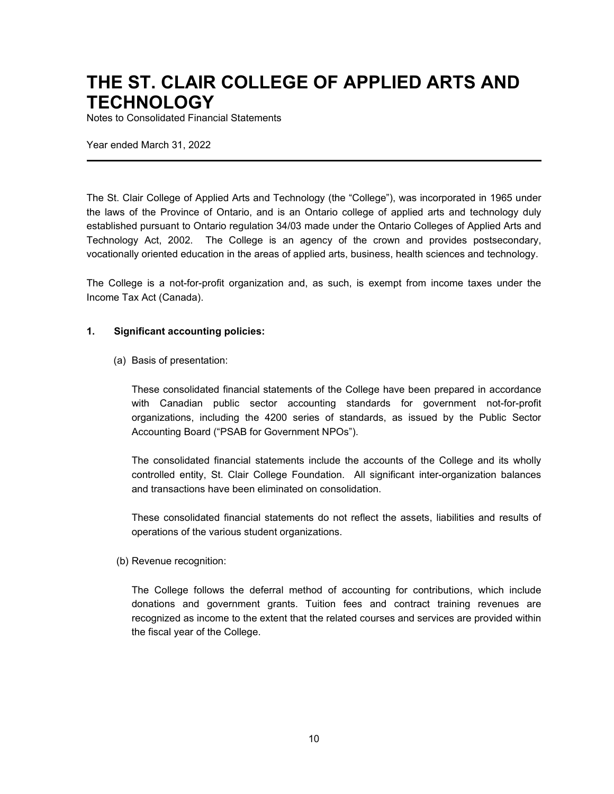Notes to Consolidated Financial Statements

Year ended March 31, 2022

The St. Clair College of Applied Arts and Technology (the "College"), was incorporated in 1965 under the laws of the Province of Ontario, and is an Ontario college of applied arts and technology duly established pursuant to Ontario regulation 34/03 made under the Ontario Colleges of Applied Arts and Technology Act, 2002. The College is an agency of the crown and provides postsecondary, vocationally oriented education in the areas of applied arts, business, health sciences and technology.

The College is a not-for-profit organization and, as such, is exempt from income taxes under the Income Tax Act (Canada).

#### **1. Significant accounting policies:**

(a) Basis of presentation:

These consolidated financial statements of the College have been prepared in accordance with Canadian public sector accounting standards for government not-for-profit organizations, including the 4200 series of standards, as issued by the Public Sector Accounting Board ("PSAB for Government NPOs").

The consolidated financial statements include the accounts of the College and its wholly controlled entity, St. Clair College Foundation. All significant inter-organization balances and transactions have been eliminated on consolidation.

These consolidated financial statements do not reflect the assets, liabilities and results of operations of the various student organizations.

(b) Revenue recognition:

The College follows the deferral method of accounting for contributions, which include donations and government grants. Tuition fees and contract training revenues are recognized as income to the extent that the related courses and services are provided within the fiscal year of the College.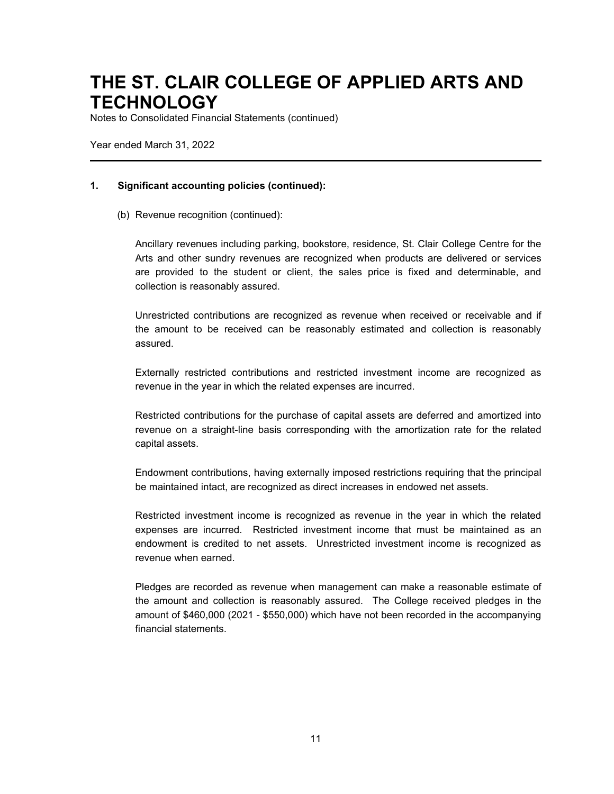Notes to Consolidated Financial Statements (continued)

Year ended March 31, 2022

#### **1. Significant accounting policies (continued):**

(b) Revenue recognition (continued):

Ancillary revenues including parking, bookstore, residence, St. Clair College Centre for the Arts and other sundry revenues are recognized when products are delivered or services are provided to the student or client, the sales price is fixed and determinable, and collection is reasonably assured.

Unrestricted contributions are recognized as revenue when received or receivable and if the amount to be received can be reasonably estimated and collection is reasonably assured.

Externally restricted contributions and restricted investment income are recognized as revenue in the year in which the related expenses are incurred.

Restricted contributions for the purchase of capital assets are deferred and amortized into revenue on a straight-line basis corresponding with the amortization rate for the related capital assets.

Endowment contributions, having externally imposed restrictions requiring that the principal be maintained intact, are recognized as direct increases in endowed net assets.

Restricted investment income is recognized as revenue in the year in which the related expenses are incurred. Restricted investment income that must be maintained as an endowment is credited to net assets. Unrestricted investment income is recognized as revenue when earned.

Pledges are recorded as revenue when management can make a reasonable estimate of the amount and collection is reasonably assured. The College received pledges in the amount of \$460,000 (2021 - \$550,000) which have not been recorded in the accompanying financial statements.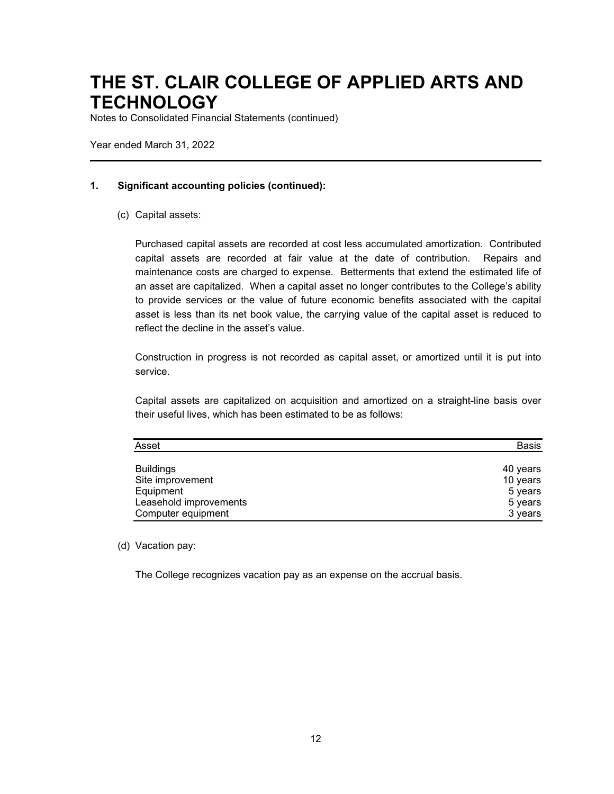Notes to Consolidated Financial Statements (continued)

Year ended March 31, 2022

#### **1. Significant accounting policies (continued):**

(c) Capital assets:

Purchased capital assets are recorded at cost less accumulated amortization. Contributed capital assets are recorded at fair value at the date of contribution. Repairs and maintenance costs are charged to expense. Betterments that extend the estimated life of an asset are capitalized. When a capital asset no longer contributes to the College's ability to provide services or the value of future economic benefits associated with the capital asset is less than its net book value, the carrying value of the capital asset is reduced to reflect the decline in the asset's value.

Construction in progress is not recorded as capital asset, or amortized until it is put into service.

Capital assets are capitalized on acquisition and amortized on a straight-line basis over their useful lives, which has been estimated to be as follows:

| Asset                  | Basis    |
|------------------------|----------|
| <b>Buildings</b>       | 40 years |
| Site improvement       | 10 years |
| Equipment              | 5 years  |
| Leasehold improvements | 5 years  |
| Computer equipment     | 3 years  |

(d) Vacation pay:

The College recognizes vacation pay as an expense on the accrual basis.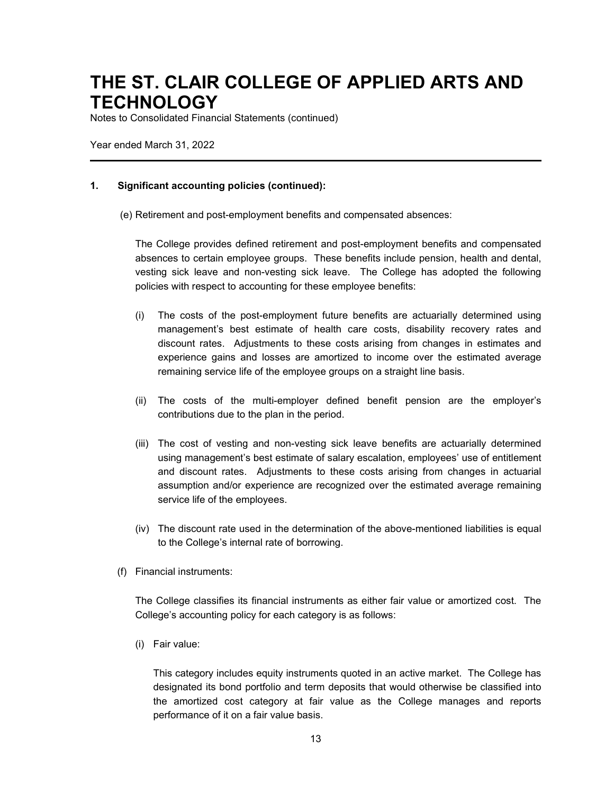Notes to Consolidated Financial Statements (continued)

Year ended March 31, 2022

#### **1. Significant accounting policies (continued):**

(e) Retirement and post-employment benefits and compensated absences:

The College provides defined retirement and post-employment benefits and compensated absences to certain employee groups. These benefits include pension, health and dental, vesting sick leave and non-vesting sick leave. The College has adopted the following policies with respect to accounting for these employee benefits:

- (i) The costs of the post-employment future benefits are actuarially determined using management's best estimate of health care costs, disability recovery rates and discount rates. Adjustments to these costs arising from changes in estimates and experience gains and losses are amortized to income over the estimated average remaining service life of the employee groups on a straight line basis.
- (ii) The costs of the multi-employer defined benefit pension are the employer's contributions due to the plan in the period.
- (iii) The cost of vesting and non-vesting sick leave benefits are actuarially determined using management's best estimate of salary escalation, employees' use of entitlement and discount rates. Adjustments to these costs arising from changes in actuarial assumption and/or experience are recognized over the estimated average remaining service life of the employees.
- (iv) The discount rate used in the determination of the above-mentioned liabilities is equal to the College's internal rate of borrowing.
- (f) Financial instruments:

The College classifies its financial instruments as either fair value or amortized cost. The College's accounting policy for each category is as follows:

(i) Fair value:

This category includes equity instruments quoted in an active market. The College has designated its bond portfolio and term deposits that would otherwise be classified into the amortized cost category at fair value as the College manages and reports performance of it on a fair value basis.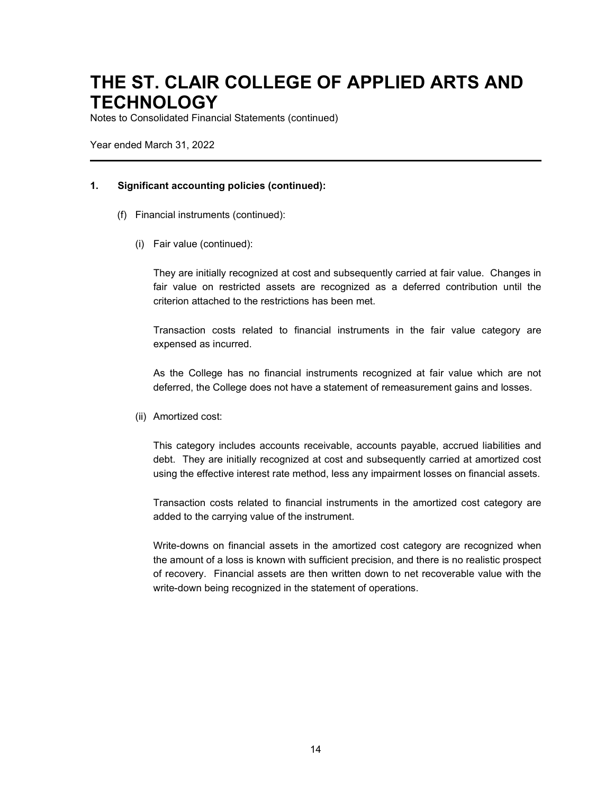Notes to Consolidated Financial Statements (continued)

Year ended March 31, 2022

#### **1. Significant accounting policies (continued):**

- (f) Financial instruments (continued):
	- (i) Fair value (continued):

They are initially recognized at cost and subsequently carried at fair value. Changes in fair value on restricted assets are recognized as a deferred contribution until the criterion attached to the restrictions has been met.

Transaction costs related to financial instruments in the fair value category are expensed as incurred.

As the College has no financial instruments recognized at fair value which are not deferred, the College does not have a statement of remeasurement gains and losses.

(ii) Amortized cost:

This category includes accounts receivable, accounts payable, accrued liabilities and debt. They are initially recognized at cost and subsequently carried at amortized cost using the effective interest rate method, less any impairment losses on financial assets.

Transaction costs related to financial instruments in the amortized cost category are added to the carrying value of the instrument.

Write-downs on financial assets in the amortized cost category are recognized when the amount of a loss is known with sufficient precision, and there is no realistic prospect of recovery. Financial assets are then written down to net recoverable value with the write-down being recognized in the statement of operations.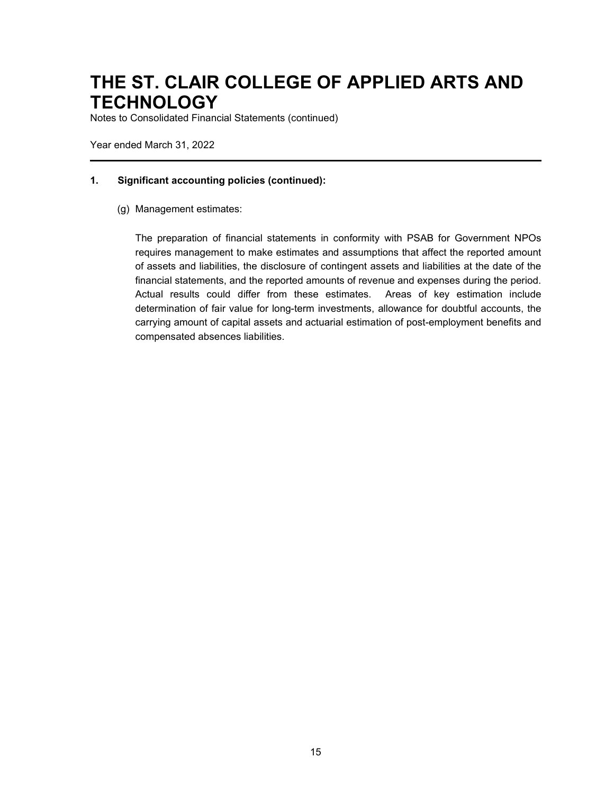Notes to Consolidated Financial Statements (continued)

Year ended March 31, 2022

#### **1. Significant accounting policies (continued):**

(g) Management estimates:

The preparation of financial statements in conformity with PSAB for Government NPOs requires management to make estimates and assumptions that affect the reported amount of assets and liabilities, the disclosure of contingent assets and liabilities at the date of the financial statements, and the reported amounts of revenue and expenses during the period. Actual results could differ from these estimates. Areas of key estimation include determination of fair value for long-term investments, allowance for doubtful accounts, the carrying amount of capital assets and actuarial estimation of post-employment benefits and compensated absences liabilities.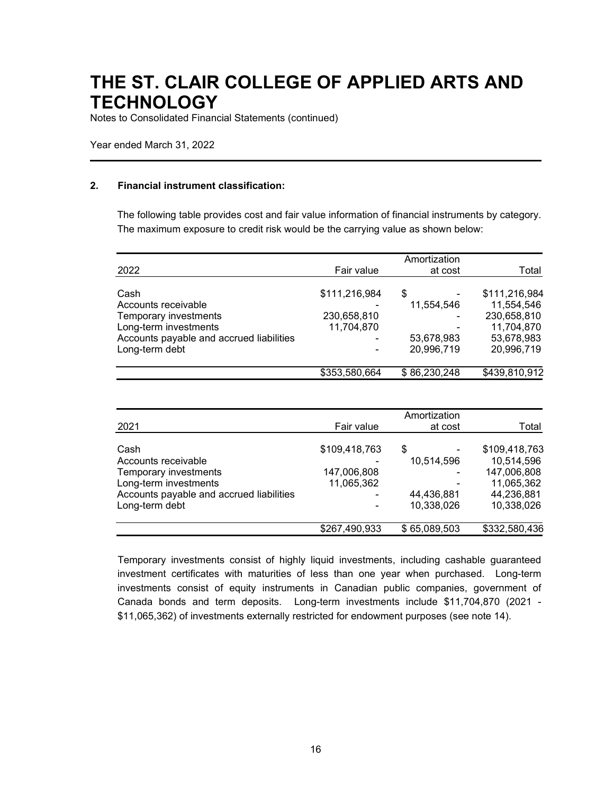Notes to Consolidated Financial Statements (continued)

Year ended March 31, 2022

#### **2. Financial instrument classification:**

The following table provides cost and fair value information of financial instruments by category. The maximum exposure to credit risk would be the carrying value as shown below:

|                                          |               | Amortization |               |
|------------------------------------------|---------------|--------------|---------------|
| 2022                                     | Fair value    | at cost      | Total         |
| Cash                                     | \$111,216,984 | \$           | \$111,216,984 |
| Accounts receivable                      |               | 11,554,546   | 11,554,546    |
| Temporary investments                    | 230,658,810   |              | 230,658,810   |
| Long-term investments                    | 11,704,870    |              | 11,704,870    |
| Accounts payable and accrued liabilities |               | 53,678,983   | 53,678,983    |
| Long-term debt                           | 20,996,719    | 20,996,719   |               |
|                                          | \$353,580,664 | \$86,230,248 | \$439,810,912 |

| 2021                                     | Fair value    | at cost      | Total         |  |
|------------------------------------------|---------------|--------------|---------------|--|
| Cash                                     | \$109,418,763 | \$           | \$109,418,763 |  |
| Accounts receivable                      |               | 10,514,596   | 10,514,596    |  |
| Temporary investments                    | 147,006,808   |              | 147,006,808   |  |
| Long-term investments                    | 11,065,362    |              | 11,065,362    |  |
| Accounts payable and accrued liabilities |               | 44,436,881   | 44,236,881    |  |
| Long-term debt                           |               | 10,338,026   | 10,338,026    |  |
|                                          | \$267,490,933 | \$65,089,503 | \$332,580,436 |  |

Temporary investments consist of highly liquid investments, including cashable guaranteed investment certificates with maturities of less than one year when purchased. Long-term investments consist of equity instruments in Canadian public companies, government of Canada bonds and term deposits. Long-term investments include \$11,704,870 (2021 - \$11,065,362) of investments externally restricted for endowment purposes (see note 14).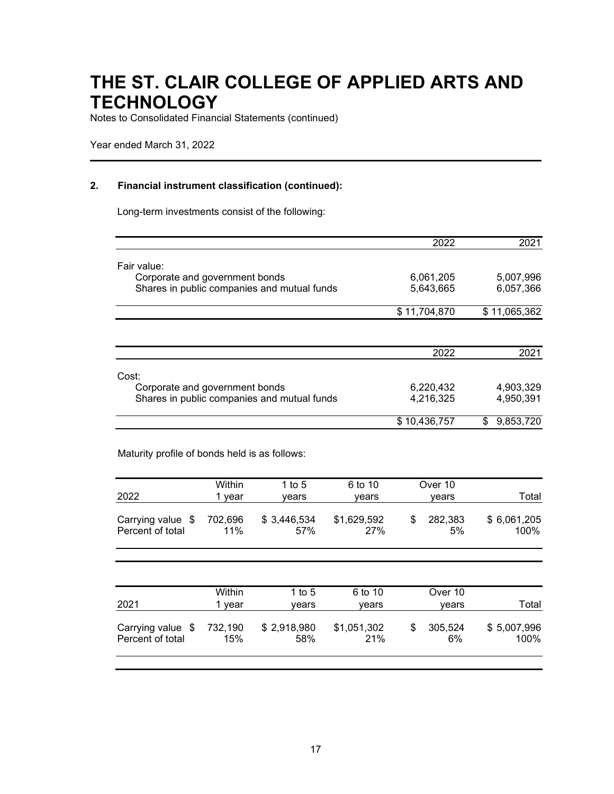Notes to Consolidated Financial Statements (continued)

Year ended March 31, 2022

#### **2. Financial instrument classification (continued):**

Long-term investments consist of the following:

|                                               |                |                                             |                    | 2022                | 2021                |
|-----------------------------------------------|----------------|---------------------------------------------|--------------------|---------------------|---------------------|
| Fair value:                                   |                |                                             |                    |                     |                     |
| Corporate and government bonds                |                |                                             |                    | 6,061,205           | 5,007,996           |
|                                               |                | Shares in public companies and mutual funds |                    | 5,643,665           | 6,057,366           |
|                                               |                |                                             |                    | \$11,704,870        | \$11,065,362        |
|                                               |                |                                             |                    |                     |                     |
|                                               |                |                                             |                    | 2022                | 2021                |
| Cost:                                         |                |                                             |                    |                     |                     |
| Corporate and government bonds                |                |                                             |                    | 6,220,432           | 4,903,329           |
|                                               |                | Shares in public companies and mutual funds |                    | 4,216,325           | 4,950,391           |
|                                               |                |                                             |                    | \$10,436,757        | \$<br>9,853,720     |
| Maturity profile of bonds held is as follows: |                |                                             |                    |                     |                     |
|                                               | Within         | 1 to $5$                                    | 6 to 10            | Over 10             |                     |
| 2022                                          | 1 year         | vears                                       | years              | years               | Total               |
| Carrying value \$<br>Percent of total         | 702,696<br>11% | \$3,446,534<br>57%                          | \$1,629,592<br>27% | \$<br>282,383<br>5% | \$6,061,205<br>100% |

|                                        | Within         | 1 to 5             | 6 to 10            |   | Over 10       |                     |
|----------------------------------------|----------------|--------------------|--------------------|---|---------------|---------------------|
| 2021                                   | vear           | vears              | vears              |   | vears         | Total               |
| Carrying value $$$<br>Percent of total | 732,190<br>15% | \$2,918,980<br>58% | \$1,051,302<br>21% | S | 305,524<br>6% | \$5,007,996<br>100% |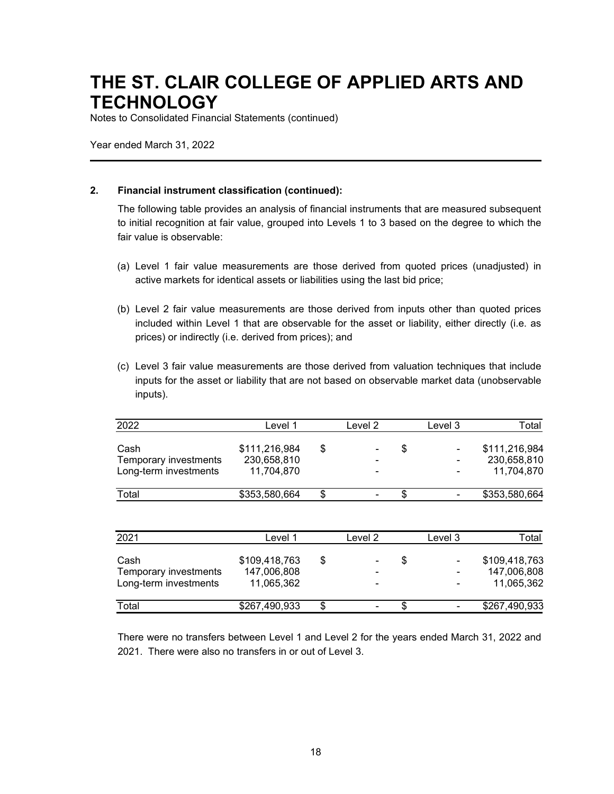Notes to Consolidated Financial Statements (continued)

Year ended March 31, 2022

### **2. Financial instrument classification (continued):**

The following table provides an analysis of financial instruments that are measured subsequent to initial recognition at fair value, grouped into Levels 1 to 3 based on the degree to which the fair value is observable:

- (a) Level 1 fair value measurements are those derived from quoted prices (unadjusted) in active markets for identical assets or liabilities using the last bid price;
- (b) Level 2 fair value measurements are those derived from inputs other than quoted prices included within Level 1 that are observable for the asset or liability, either directly (i.e. as prices) or indirectly (i.e. derived from prices); and
- (c) Level 3 fair value measurements are those derived from valuation techniques that include inputs for the asset or liability that are not based on observable market data (unobservable inputs).

| 2022                  | Level 1       | Level 2                        |    | Level 3                  | Total         |
|-----------------------|---------------|--------------------------------|----|--------------------------|---------------|
| Cash                  | \$111,216,984 | \$<br>$\overline{\phantom{0}}$ | \$ |                          | \$111,216,984 |
| Temporary investments | 230,658,810   | -                              |    | $\overline{\phantom{0}}$ | 230,658,810   |
| Long-term investments | 11,704,870    | -                              |    |                          | 11,704,870    |
| Total                 | \$353,580,664 | \$<br>$\overline{\phantom{0}}$ | S  |                          | \$353,580,664 |

| 2021                  | Level 1       | Level 2                  | Level 3                  | Total         |
|-----------------------|---------------|--------------------------|--------------------------|---------------|
| Cash                  | \$109,418,763 | $\blacksquare$           | \$<br>۰                  | \$109,418,763 |
| Temporary investments | 147,006,808   | $\overline{\phantom{0}}$ | ۰                        | 147,006,808   |
| Long-term investments | 11,065,362    | $\overline{\phantom{0}}$ | ۰                        | 11,065,362    |
| Total                 | \$267,490,933 | $\blacksquare$           | $\overline{\phantom{a}}$ | \$267,490,933 |

There were no transfers between Level 1 and Level 2 for the years ended March 31, 2022 and 2021. There were also no transfers in or out of Level 3.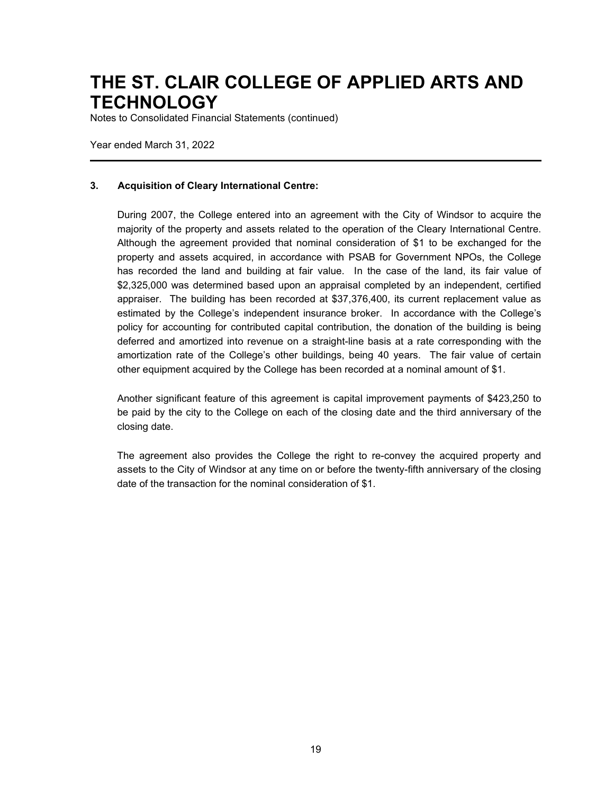Notes to Consolidated Financial Statements (continued)

Year ended March 31, 2022

#### **3. Acquisition of Cleary International Centre:**

During 2007, the College entered into an agreement with the City of Windsor to acquire the majority of the property and assets related to the operation of the Cleary International Centre. Although the agreement provided that nominal consideration of \$1 to be exchanged for the property and assets acquired, in accordance with PSAB for Government NPOs, the College has recorded the land and building at fair value. In the case of the land, its fair value of \$2,325,000 was determined based upon an appraisal completed by an independent, certified appraiser. The building has been recorded at \$37,376,400, its current replacement value as estimated by the College's independent insurance broker. In accordance with the College's policy for accounting for contributed capital contribution, the donation of the building is being deferred and amortized into revenue on a straight-line basis at a rate corresponding with the amortization rate of the College's other buildings, being 40 years. The fair value of certain other equipment acquired by the College has been recorded at a nominal amount of \$1.

Another significant feature of this agreement is capital improvement payments of \$423,250 to be paid by the city to the College on each of the closing date and the third anniversary of the closing date.

The agreement also provides the College the right to re-convey the acquired property and assets to the City of Windsor at any time on or before the twenty-fifth anniversary of the closing date of the transaction for the nominal consideration of \$1.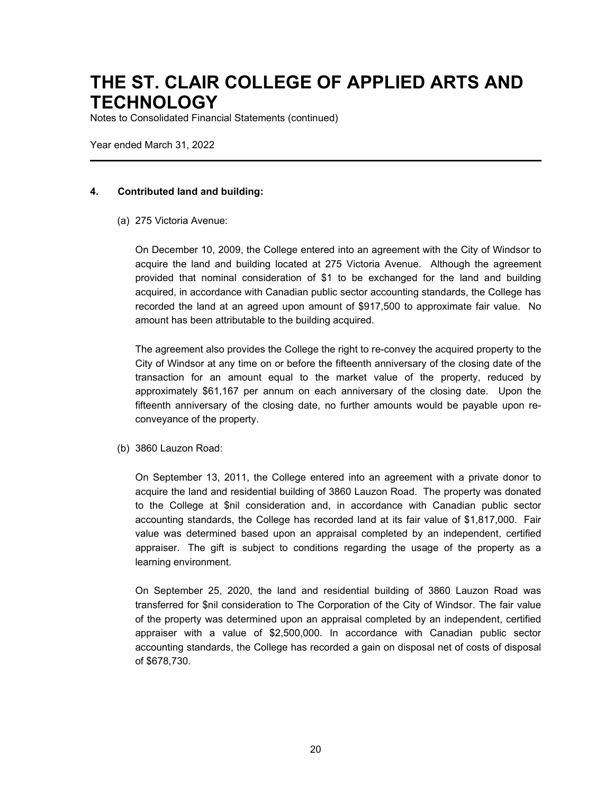Notes to Consolidated Financial Statements (continued)

Year ended March 31, 2022

#### **4. Contributed land and building:**

(a) 275 Victoria Avenue:

On December 10, 2009, the College entered into an agreement with the City of Windsor to acquire the land and building located at 275 Victoria Avenue. Although the agreement provided that nominal consideration of \$1 to be exchanged for the land and building acquired, in accordance with Canadian public sector accounting standards, the College has recorded the land at an agreed upon amount of \$917,500 to approximate fair value. No amount has been attributable to the building acquired.

The agreement also provides the College the right to re-convey the acquired property to the City of Windsor at any time on or before the fifteenth anniversary of the closing date of the transaction for an amount equal to the market value of the property, reduced by approximately \$61,167 per annum on each anniversary of the closing date. Upon the fifteenth anniversary of the closing date, no further amounts would be payable upon reconveyance of the property.

(b) 3860 Lauzon Road:

On September 13, 2011, the College entered into an agreement with a private donor to acquire the land and residential building of 3860 Lauzon Road. The property was donated to the College at \$nil consideration and, in accordance with Canadian public sector accounting standards, the College has recorded land at its fair value of \$1,817,000. Fair value was determined based upon an appraisal completed by an independent, certified appraiser. The gift is subject to conditions regarding the usage of the property as a learning environment.

On September 25, 2020, the land and residential building of 3860 Lauzon Road was transferred for \$nil consideration to The Corporation of the City of Windsor. The fair value of the property was determined upon an appraisal completed by an independent, certified appraiser with a value of \$2,500,000. In accordance with Canadian public sector accounting standards, the College has recorded a gain on disposal net of costs of disposal of \$678,730.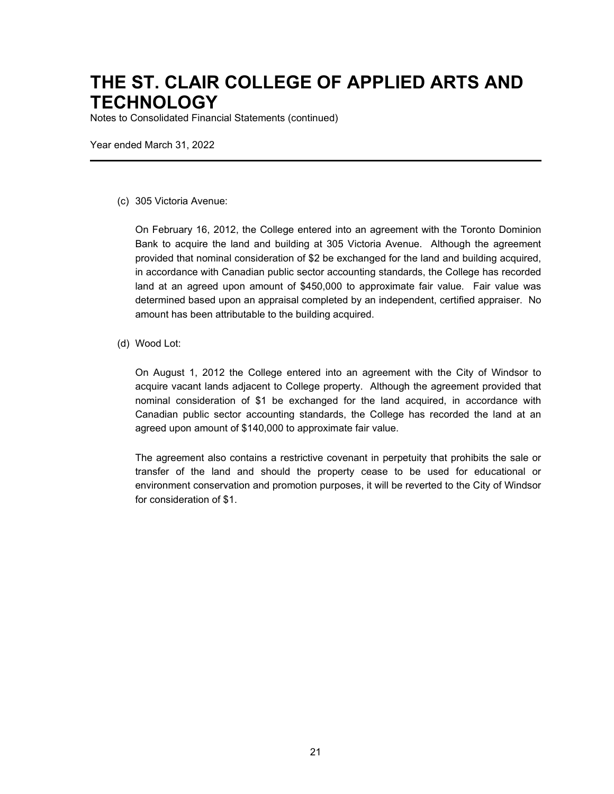Notes to Consolidated Financial Statements (continued)

Year ended March 31, 2022

#### (c) 305 Victoria Avenue:

On February 16, 2012, the College entered into an agreement with the Toronto Dominion Bank to acquire the land and building at 305 Victoria Avenue. Although the agreement provided that nominal consideration of \$2 be exchanged for the land and building acquired, in accordance with Canadian public sector accounting standards, the College has recorded land at an agreed upon amount of \$450,000 to approximate fair value. Fair value was determined based upon an appraisal completed by an independent, certified appraiser. No amount has been attributable to the building acquired.

#### (d) Wood Lot:

On August 1, 2012 the College entered into an agreement with the City of Windsor to acquire vacant lands adjacent to College property. Although the agreement provided that nominal consideration of \$1 be exchanged for the land acquired, in accordance with Canadian public sector accounting standards, the College has recorded the land at an agreed upon amount of \$140,000 to approximate fair value.

The agreement also contains a restrictive covenant in perpetuity that prohibits the sale or transfer of the land and should the property cease to be used for educational or environment conservation and promotion purposes, it will be reverted to the City of Windsor for consideration of \$1.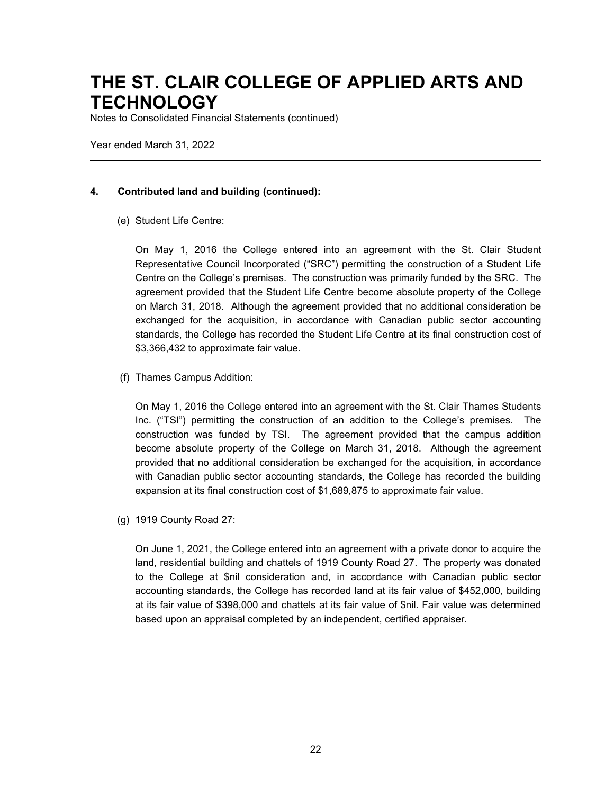Notes to Consolidated Financial Statements (continued)

Year ended March 31, 2022

### **4. Contributed land and building (continued):**

(e) Student Life Centre:

On May 1, 2016 the College entered into an agreement with the St. Clair Student Representative Council Incorporated ("SRC") permitting the construction of a Student Life Centre on the College's premises. The construction was primarily funded by the SRC. The agreement provided that the Student Life Centre become absolute property of the College on March 31, 2018. Although the agreement provided that no additional consideration be exchanged for the acquisition, in accordance with Canadian public sector accounting standards, the College has recorded the Student Life Centre at its final construction cost of \$3,366,432 to approximate fair value.

(f) Thames Campus Addition:

On May 1, 2016 the College entered into an agreement with the St. Clair Thames Students Inc. ("TSI") permitting the construction of an addition to the College's premises. The construction was funded by TSI. The agreement provided that the campus addition become absolute property of the College on March 31, 2018. Although the agreement provided that no additional consideration be exchanged for the acquisition, in accordance with Canadian public sector accounting standards, the College has recorded the building expansion at its final construction cost of \$1,689,875 to approximate fair value.

(g) 1919 County Road 27:

On June 1, 2021, the College entered into an agreement with a private donor to acquire the land, residential building and chattels of 1919 County Road 27. The property was donated to the College at \$nil consideration and, in accordance with Canadian public sector accounting standards, the College has recorded land at its fair value of \$452,000, building at its fair value of \$398,000 and chattels at its fair value of \$nil. Fair value was determined based upon an appraisal completed by an independent, certified appraiser.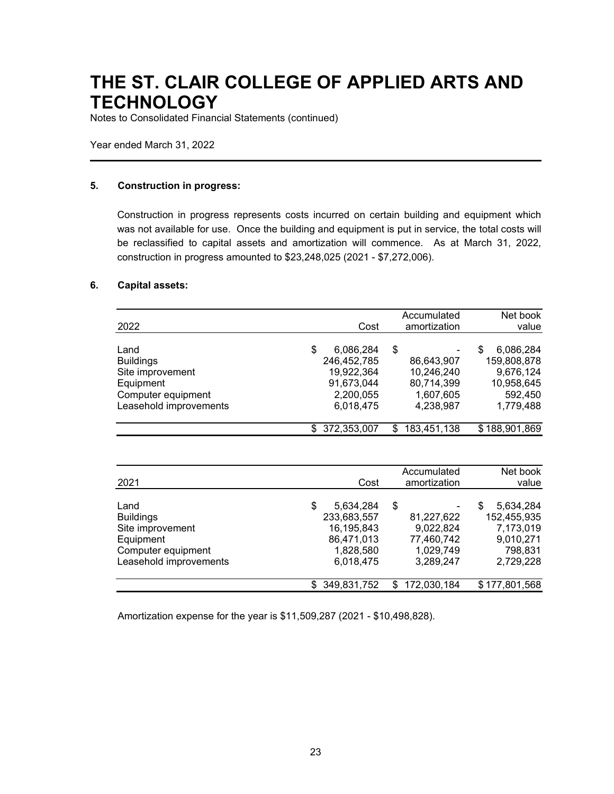Notes to Consolidated Financial Statements (continued)

Year ended March 31, 2022

#### **5. Construction in progress:**

Construction in progress represents costs incurred on certain building and equipment which was not available for use. Once the building and equipment is put in service, the total costs will be reclassified to capital assets and amortization will commence. As at March 31, 2022, construction in progress amounted to \$23,248,025 (2021 - \$7,272,006).

#### **6. Capital assets:**

| 2022                                                                                                      | Cost                                                                                 | Accumulated<br>amortization                                            | Net book<br>value                                                                |
|-----------------------------------------------------------------------------------------------------------|--------------------------------------------------------------------------------------|------------------------------------------------------------------------|----------------------------------------------------------------------------------|
| Land<br><b>Buildings</b><br>Site improvement<br>Equipment<br>Computer equipment<br>Leasehold improvements | \$<br>6,086,284<br>246,452,785<br>19,922,364<br>91,673,044<br>2,200,055<br>6,018,475 | \$<br>86,643,907<br>10,246,240<br>80,714,399<br>1,607,605<br>4,238,987 | 6,086,284<br>S<br>159,808,878<br>9,676,124<br>10,958,645<br>592,450<br>1,779,488 |
|                                                                                                           | \$372,353,007                                                                        | \$<br>183,451,138                                                      | \$188,901,869                                                                    |

| 2021                   | Cost            | Accumulated<br>amortization | Net book<br>value |
|------------------------|-----------------|-----------------------------|-------------------|
| Land                   | \$<br>5,634,284 | \$                          | 5,634,284<br>S    |
| <b>Buildings</b>       | 233,683,557     | 81,227,622                  | 152,455,935       |
| Site improvement       | 16,195,843      | 9,022,824                   | 7,173,019         |
| Equipment              | 86,471,013      | 77,460,742                  | 9,010,271         |
| Computer equipment     | 1,828,580       | 1,029,749                   | 798,831           |
| Leasehold improvements | 6,018,475       | 3.289.247                   | 2,729,228         |
|                        |                 |                             |                   |
|                        | \$349,831,752   | \$172,030,184               | \$177,801,568     |

Amortization expense for the year is \$11,509,287 (2021 - \$10,498,828).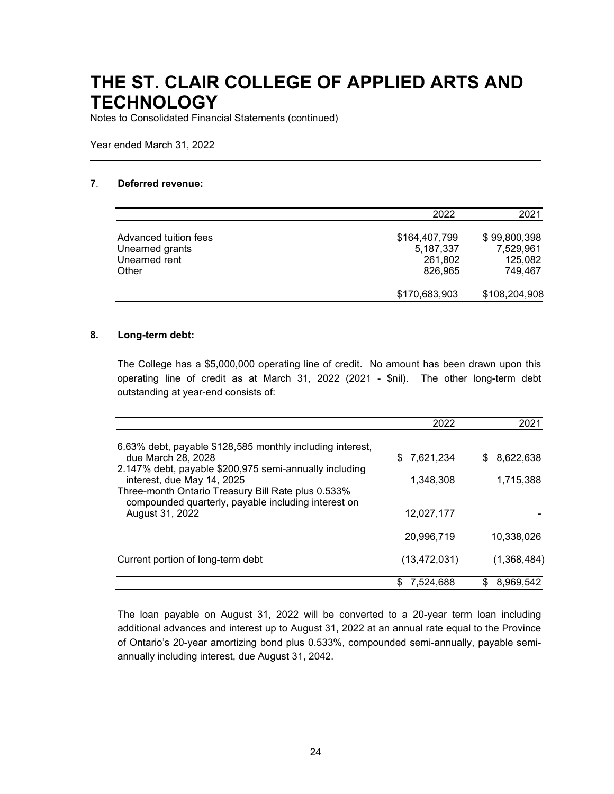Notes to Consolidated Financial Statements (continued)

Year ended March 31, 2022

#### **7**. **Deferred revenue:**

|                                                                    | 2022                                             | 2021                                            |
|--------------------------------------------------------------------|--------------------------------------------------|-------------------------------------------------|
| Advanced tuition fees<br>Unearned grants<br>Unearned rent<br>Other | \$164,407,799<br>5,187,337<br>261,802<br>826,965 | \$99,800,398<br>7,529,961<br>125,082<br>749.467 |
|                                                                    | \$170,683,903                                    | \$108,204,908                                   |

#### **8. Long-term debt:**

The College has a \$5,000,000 operating line of credit. No amount has been drawn upon this operating line of credit as at March 31, 2022 (2021 - \$nil). The other long-term debt outstanding at year-end consists of:

|                                                                                                                                            | 2022             | 2021            |
|--------------------------------------------------------------------------------------------------------------------------------------------|------------------|-----------------|
| 6.63% debt, payable \$128,585 monthly including interest,<br>due March 28, 2028                                                            | 7,621,234<br>\$. | 8,622,638<br>S  |
| 2.147% debt, payable \$200,975 semi-annually including<br>interest, due May 14, 2025<br>Three-month Ontario Treasury Bill Rate plus 0.533% | 1,348,308        | 1,715,388       |
| compounded quarterly, payable including interest on<br>August 31, 2022                                                                     | 12,027,177       |                 |
|                                                                                                                                            | 20,996,719       | 10,338,026      |
| Current portion of long-term debt                                                                                                          | (13, 472, 031)   | (1,368,484)     |
|                                                                                                                                            | 7,524,688<br>S   | 8,969,542<br>\$ |

The loan payable on August 31, 2022 will be converted to a 20-year term loan including additional advances and interest up to August 31, 2022 at an annual rate equal to the Province of Ontario's 20-year amortizing bond plus 0.533%, compounded semi-annually, payable semiannually including interest, due August 31, 2042.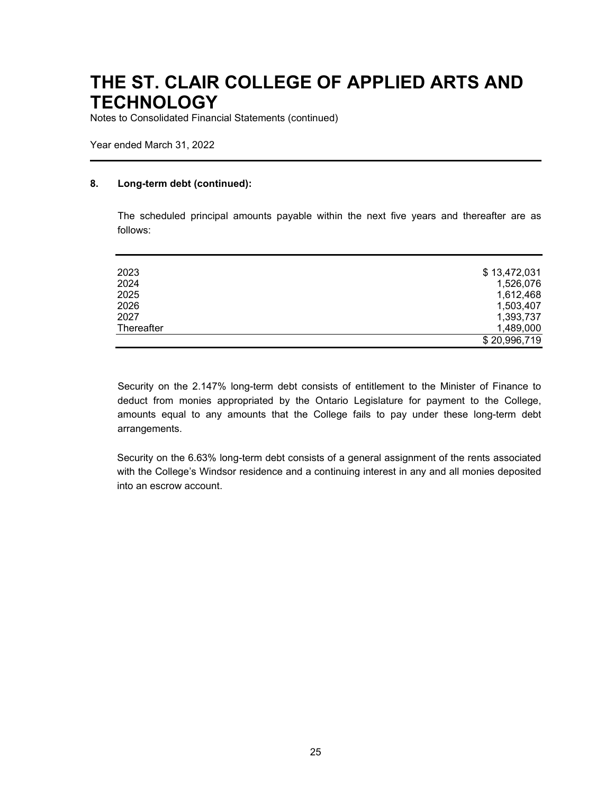Notes to Consolidated Financial Statements (continued)

Year ended March 31, 2022

#### **8. Long-term debt (continued):**

The scheduled principal amounts payable within the next five years and thereafter are as follows:

| 2023       | \$13,472,031 |
|------------|--------------|
| 2024       | 1,526,076    |
| 2025       | 1,612,468    |
| 2026       | 1,503,407    |
| 2027       | 1,393,737    |
| Thereafter | 1,489,000    |
|            | \$20,996,719 |

Security on the 2.147% long-term debt consists of entitlement to the Minister of Finance to deduct from monies appropriated by the Ontario Legislature for payment to the College, amounts equal to any amounts that the College fails to pay under these long-term debt arrangements.

Security on the 6.63% long-term debt consists of a general assignment of the rents associated with the College's Windsor residence and a continuing interest in any and all monies deposited into an escrow account.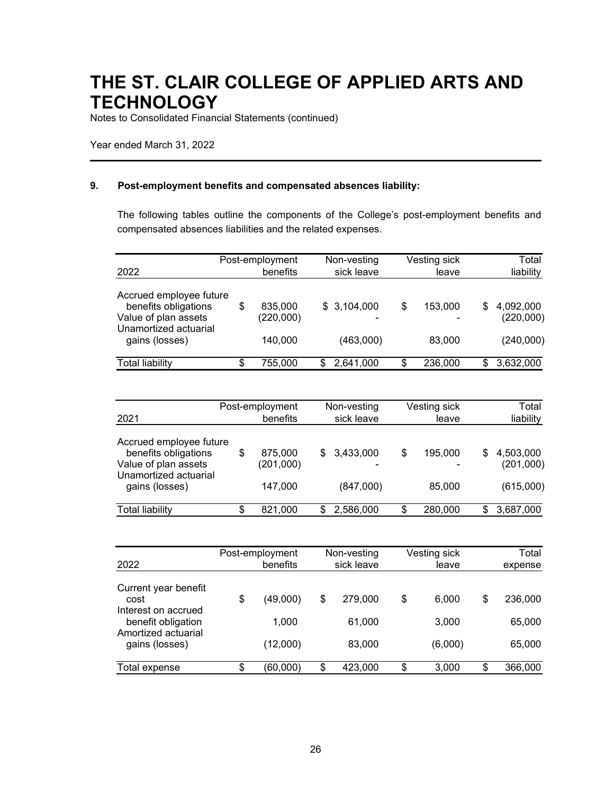Notes to Consolidated Financial Statements (continued)

Year ended March 31, 2022

#### **9. Post-employment benefits and compensated absences liability:**

The following tables outline the components of the College's post-employment benefits and compensated absences liabilities and the related expenses.

|                                                                         | Post-employment            | Non-vesting | Vesting sick  |   | Total                  |
|-------------------------------------------------------------------------|----------------------------|-------------|---------------|---|------------------------|
| 2022                                                                    | benefits                   | sick leave  | leave         |   | liability              |
| Accrued employee future<br>benefits obligations<br>Value of plan assets | \$<br>835,000<br>(220,000) | \$3,104,000 | \$<br>153,000 | S | 4,092,000<br>(220,000) |
| Unamortized actuarial<br>gains (losses)                                 | 140,000                    | (463,000)   | 83,000        |   | (240,000)              |
| <b>Total liability</b>                                                  | \$<br>755,000              | 2,641,000   | \$<br>236,000 | S | 3,632,000              |

|                                                                                                  | Post-employment            |    | Non-vesting |    | Vesting sick |   | Total                  |
|--------------------------------------------------------------------------------------------------|----------------------------|----|-------------|----|--------------|---|------------------------|
| 2021                                                                                             | benefits                   |    | sick leave  |    | leave        |   | liability              |
| Accrued employee future<br>benefits obligations<br>Value of plan assets<br>Unamortized actuarial | \$<br>875,000<br>(201,000) | \$ | 3,433,000   | \$ | 195,000      | S | 4,503,000<br>(201,000) |
| gains (losses)                                                                                   | 147,000                    |    | (847,000)   |    | 85,000       |   | (615,000)              |
| <b>Total liability</b>                                                                           | \$<br>821,000              | S  | 2,586,000   | S  | 280,000      | S | 3,687,000              |

| 2022                                                             | Post-employment<br>benefits | Non-vesting<br>sick leave | Vesting sick<br>leave | Total<br>expense |
|------------------------------------------------------------------|-----------------------------|---------------------------|-----------------------|------------------|
| Current year benefit<br>cost                                     | \$<br>(49,000)              | \$<br>279.000             | \$<br>6.000           | \$<br>236,000    |
| Interest on accrued<br>benefit obligation<br>Amortized actuarial | 1.000                       | 61.000                    | 3,000                 | 65,000           |
| gains (losses)                                                   | (12,000)                    | 83,000                    | (6,000)               | 65,000           |
| Total expense                                                    | \$<br>(60,000)              | \$<br>423,000             | \$<br>3,000           | \$<br>366,000    |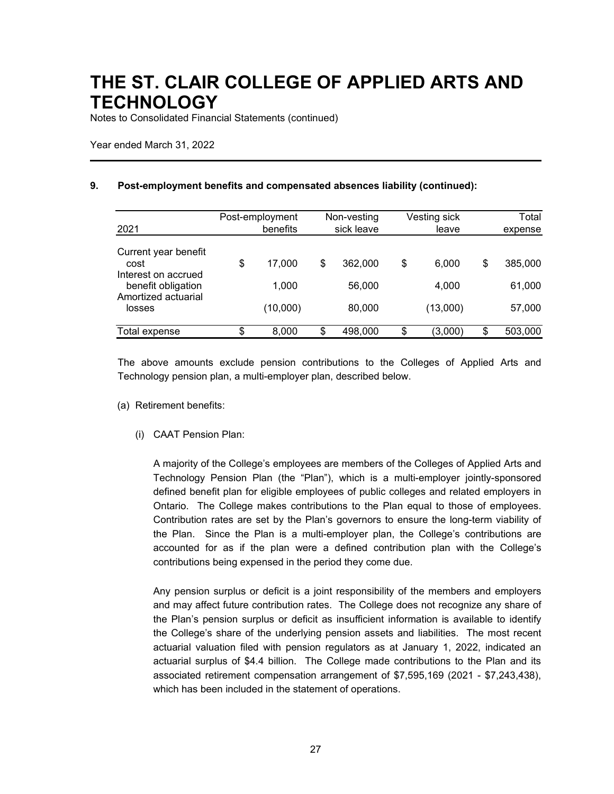Notes to Consolidated Financial Statements (continued)

Year ended March 31, 2022

#### **9. Post-employment benefits and compensated absences liability (continued):**

| 2021                                                | Post-employment<br>benefits | Non-vesting<br>sick leave | Vesting sick<br>leave | Total<br>expense |
|-----------------------------------------------------|-----------------------------|---------------------------|-----------------------|------------------|
| Current year benefit<br>cost<br>Interest on accrued | \$<br>17.000                | \$<br>362,000             | \$<br>6.000           | \$<br>385,000    |
| benefit obligation<br>Amortized actuarial           | 1,000                       | 56,000                    | 4,000                 | 61,000           |
| losses                                              | (10,000)                    | 80,000                    | (13,000)              | 57,000           |
| Total expense                                       | \$<br>8,000                 | \$<br>498,000             | \$<br>(3,000)         | \$<br>503,000    |

The above amounts exclude pension contributions to the Colleges of Applied Arts and Technology pension plan, a multi-employer plan, described below.

- (a) Retirement benefits:
	- (i) CAAT Pension Plan:

A majority of the College's employees are members of the Colleges of Applied Arts and Technology Pension Plan (the "Plan"), which is a multi-employer jointly-sponsored defined benefit plan for eligible employees of public colleges and related employers in Ontario. The College makes contributions to the Plan equal to those of employees. Contribution rates are set by the Plan's governors to ensure the long-term viability of the Plan. Since the Plan is a multi-employer plan, the College's contributions are accounted for as if the plan were a defined contribution plan with the College's contributions being expensed in the period they come due.

Any pension surplus or deficit is a joint responsibility of the members and employers and may affect future contribution rates. The College does not recognize any share of the Plan's pension surplus or deficit as insufficient information is available to identify the College's share of the underlying pension assets and liabilities. The most recent actuarial valuation filed with pension regulators as at January 1, 2022, indicated an actuarial surplus of \$4.4 billion. The College made contributions to the Plan and its associated retirement compensation arrangement of \$7,595,169 (2021 - \$7,243,438), which has been included in the statement of operations.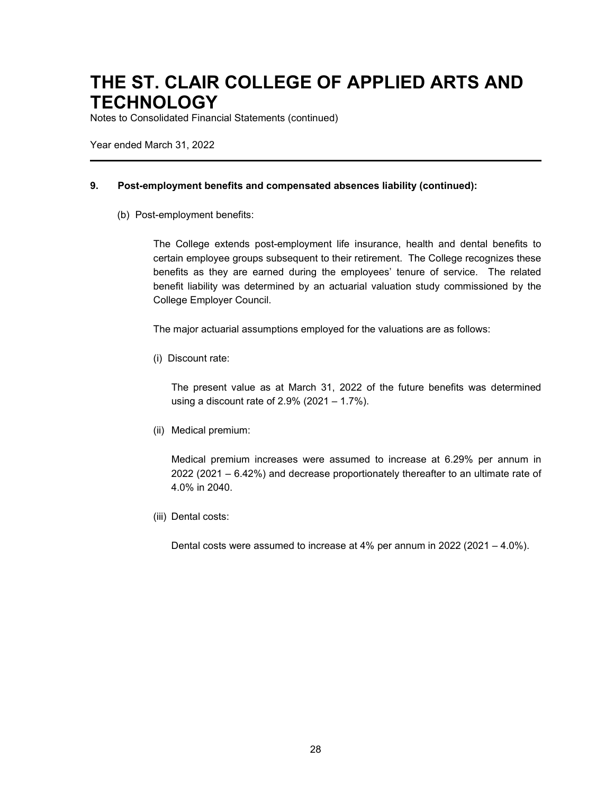Notes to Consolidated Financial Statements (continued)

Year ended March 31, 2022

#### **9. Post-employment benefits and compensated absences liability (continued):**

(b) Post-employment benefits:

The College extends post-employment life insurance, health and dental benefits to certain employee groups subsequent to their retirement. The College recognizes these benefits as they are earned during the employees' tenure of service. The related benefit liability was determined by an actuarial valuation study commissioned by the College Employer Council.

The major actuarial assumptions employed for the valuations are as follows:

(i) Discount rate:

The present value as at March 31, 2022 of the future benefits was determined using a discount rate of 2.9% (2021 – 1.7%).

(ii) Medical premium:

Medical premium increases were assumed to increase at 6.29% per annum in 2022 (2021 – 6.42%) and decrease proportionately thereafter to an ultimate rate of 4.0% in 2040.

(iii) Dental costs:

Dental costs were assumed to increase at 4% per annum in 2022 (2021 – 4.0%).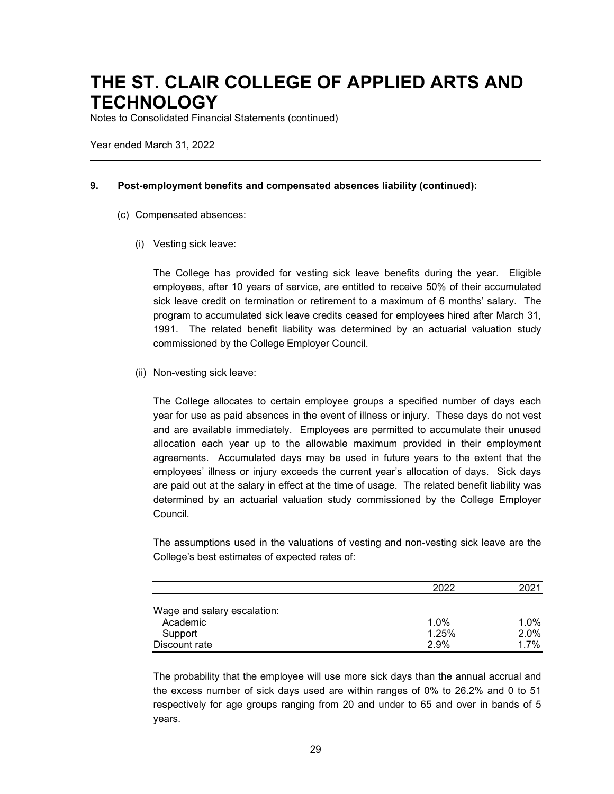Notes to Consolidated Financial Statements (continued)

Year ended March 31, 2022

#### **9. Post-employment benefits and compensated absences liability (continued):**

- (c) Compensated absences:
	- (i) Vesting sick leave:

The College has provided for vesting sick leave benefits during the year. Eligible employees, after 10 years of service, are entitled to receive 50% of their accumulated sick leave credit on termination or retirement to a maximum of 6 months' salary. The program to accumulated sick leave credits ceased for employees hired after March 31, 1991. The related benefit liability was determined by an actuarial valuation study commissioned by the College Employer Council.

(ii) Non-vesting sick leave:

The College allocates to certain employee groups a specified number of days each year for use as paid absences in the event of illness or injury. These days do not vest and are available immediately. Employees are permitted to accumulate their unused allocation each year up to the allowable maximum provided in their employment agreements. Accumulated days may be used in future years to the extent that the employees' illness or injury exceeds the current year's allocation of days. Sick days are paid out at the salary in effect at the time of usage. The related benefit liability was determined by an actuarial valuation study commissioned by the College Employer Council.

The assumptions used in the valuations of vesting and non-vesting sick leave are the College's best estimates of expected rates of:

|                             | 2022  | 2021    |
|-----------------------------|-------|---------|
| Wage and salary escalation: |       |         |
| Academic                    | 1.0%  | 1.0%    |
| Support                     | 1.25% | $2.0\%$ |
| Discount rate               | 2.9%  | 1.7%    |

The probability that the employee will use more sick days than the annual accrual and the excess number of sick days used are within ranges of 0% to 26.2% and 0 to 51 respectively for age groups ranging from 20 and under to 65 and over in bands of 5 years.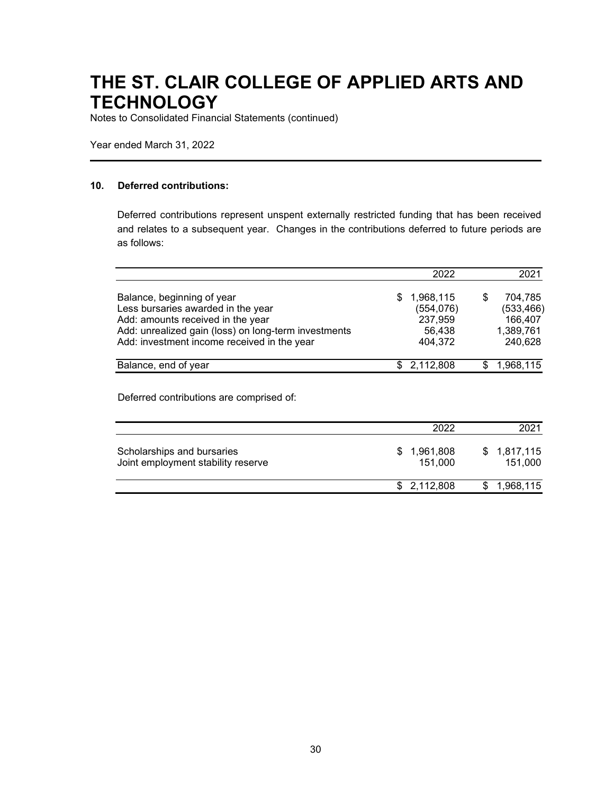Notes to Consolidated Financial Statements (continued)

Year ended March 31, 2022

#### **10. Deferred contributions:**

Deferred contributions represent unspent externally restricted funding that has been received and relates to a subsequent year. Changes in the contributions deferred to future periods are as follows:

|                                                                                                                                                                                                              | 2022                                                          | 2021                                                     |
|--------------------------------------------------------------------------------------------------------------------------------------------------------------------------------------------------------------|---------------------------------------------------------------|----------------------------------------------------------|
| Balance, beginning of year<br>Less bursaries awarded in the year<br>Add: amounts received in the year<br>Add: unrealized gain (loss) on long-term investments<br>Add: investment income received in the year | 1,968,115<br>£.<br>(554, 076)<br>237,959<br>56,438<br>404,372 | 704,785<br>(533, 466)<br>166,407<br>1,389,761<br>240,628 |
| Balance, end of year                                                                                                                                                                                         | \$2,112,808                                                   | 1,968,115                                                |

Deferred contributions are comprised of:

|                                                                  | 2022                   | 2021                   |
|------------------------------------------------------------------|------------------------|------------------------|
| Scholarships and bursaries<br>Joint employment stability reserve | \$1,961,808<br>151.000 | \$1,817,115<br>151.000 |
|                                                                  | \$2,112,808            | 1,968,115              |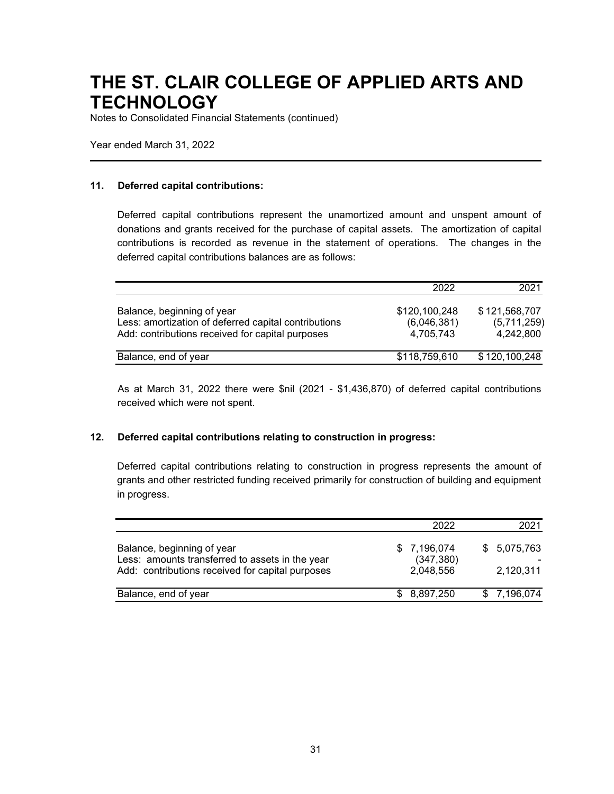Notes to Consolidated Financial Statements (continued)

Year ended March 31, 2022

#### **11. Deferred capital contributions:**

Deferred capital contributions represent the unamortized amount and unspent amount of donations and grants received for the purchase of capital assets. The amortization of capital contributions is recorded as revenue in the statement of operations. The changes in the deferred capital contributions balances are as follows:

|                                                                                                                                        | 2022                                      | 2021                                      |
|----------------------------------------------------------------------------------------------------------------------------------------|-------------------------------------------|-------------------------------------------|
| Balance, beginning of year<br>Less: amortization of deferred capital contributions<br>Add: contributions received for capital purposes | \$120,100,248<br>(6,046,381)<br>4.705.743 | \$121,568,707<br>(5,711,259)<br>4.242.800 |
| Balance, end of year                                                                                                                   | \$118,759,610                             | \$120,100,248                             |

As at March 31, 2022 there were \$nil (2021 - \$1,436,870) of deferred capital contributions received which were not spent.

#### **12. Deferred capital contributions relating to construction in progress:**

Deferred capital contributions relating to construction in progress represents the amount of grants and other restricted funding received primarily for construction of building and equipment in progress.

|                                                                                                                                   | 2022                                   | 2021                     |
|-----------------------------------------------------------------------------------------------------------------------------------|----------------------------------------|--------------------------|
| Balance, beginning of year<br>Less: amounts transferred to assets in the year<br>Add: contributions received for capital purposes | \$7,196,074<br>(347, 380)<br>2,048,556 | \$5,075,763<br>2,120,311 |
| Balance, end of year                                                                                                              | \$8,897,250                            | \$7,196,074              |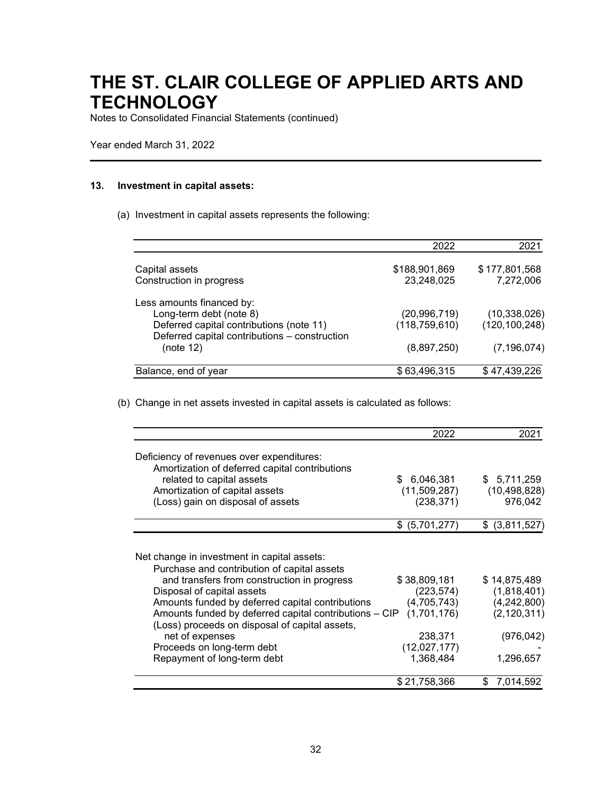Notes to Consolidated Financial Statements (continued)

Year ended March 31, 2022

#### **13. Investment in capital assets:**

(a) Investment in capital assets represents the following:

|                                                                                           | 2022            | 2021            |
|-------------------------------------------------------------------------------------------|-----------------|-----------------|
| Capital assets                                                                            | \$188,901,869   | \$177,801,568   |
| Construction in progress                                                                  | 23,248,025      | 7,272,006       |
| Less amounts financed by:                                                                 |                 |                 |
| Long-term debt (note 8)                                                                   | (20, 996, 719)  | (10, 338, 026)  |
| Deferred capital contributions (note 11)<br>Deferred capital contributions - construction | (118, 759, 610) | (120, 100, 248) |
| (note 12)                                                                                 | (8,897,250)     | (7, 196, 074)   |
| Balance, end of year                                                                      | \$63,496,315    | \$47,439,226    |

(b) Change in net assets invested in capital assets is calculated as follows:

|                                                                                                                                                                                                                                                                                                                                                                                                                         | 2022                                                                                            | 2021                                                                                   |
|-------------------------------------------------------------------------------------------------------------------------------------------------------------------------------------------------------------------------------------------------------------------------------------------------------------------------------------------------------------------------------------------------------------------------|-------------------------------------------------------------------------------------------------|----------------------------------------------------------------------------------------|
| Deficiency of revenues over expenditures:<br>Amortization of deferred capital contributions                                                                                                                                                                                                                                                                                                                             |                                                                                                 |                                                                                        |
| related to capital assets                                                                                                                                                                                                                                                                                                                                                                                               | 6,046,381<br>\$.                                                                                | \$5,711,259                                                                            |
| Amortization of capital assets                                                                                                                                                                                                                                                                                                                                                                                          | (11,509,287)                                                                                    | (10, 498, 828)                                                                         |
| (Loss) gain on disposal of assets                                                                                                                                                                                                                                                                                                                                                                                       | (238, 371)                                                                                      | 976,042                                                                                |
|                                                                                                                                                                                                                                                                                                                                                                                                                         | (5,701,277)<br>\$                                                                               | \$ (3,811,527)                                                                         |
| Net change in investment in capital assets:<br>Purchase and contribution of capital assets<br>and transfers from construction in progress<br>Disposal of capital assets<br>Amounts funded by deferred capital contributions<br>Amounts funded by deferred capital contributions - CIP<br>(Loss) proceeds on disposal of capital assets,<br>net of expenses<br>Proceeds on long-term debt<br>Repayment of long-term debt | \$38,809,181<br>(223,574)<br>(4,705,743)<br>(1,701,176)<br>238,371<br>(12,027,177)<br>1,368,484 | \$14,875,489<br>(1,818,401)<br>(4,242,800)<br>(2, 120, 311)<br>(976, 042)<br>1,296,657 |
|                                                                                                                                                                                                                                                                                                                                                                                                                         | \$21,758,366                                                                                    | 7,014,592<br>\$                                                                        |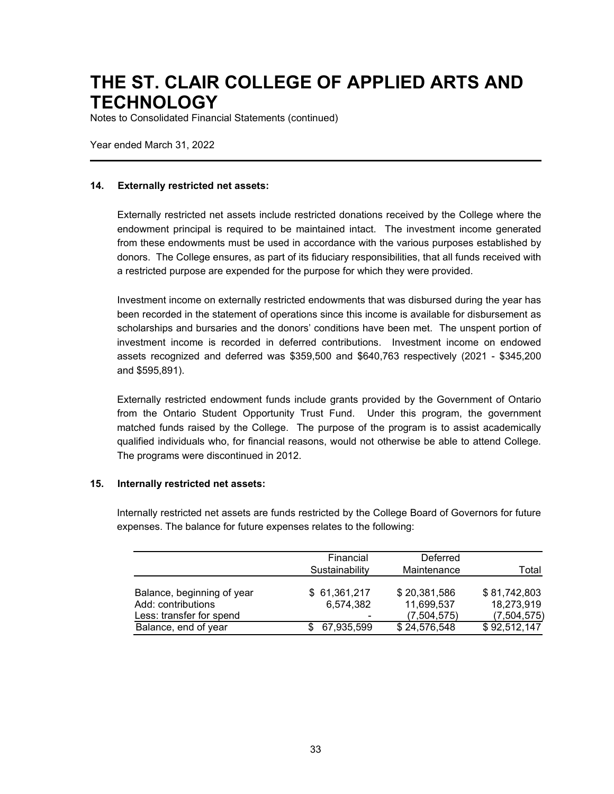Notes to Consolidated Financial Statements (continued)

Year ended March 31, 2022

#### **14. Externally restricted net assets:**

Externally restricted net assets include restricted donations received by the College where the endowment principal is required to be maintained intact. The investment income generated from these endowments must be used in accordance with the various purposes established by donors. The College ensures, as part of its fiduciary responsibilities, that all funds received with a restricted purpose are expended for the purpose for which they were provided.

Investment income on externally restricted endowments that was disbursed during the year has been recorded in the statement of operations since this income is available for disbursement as scholarships and bursaries and the donors' conditions have been met. The unspent portion of investment income is recorded in deferred contributions. Investment income on endowed assets recognized and deferred was \$359,500 and \$640,763 respectively (2021 - \$345,200 and \$595,891).

Externally restricted endowment funds include grants provided by the Government of Ontario from the Ontario Student Opportunity Trust Fund. Under this program, the government matched funds raised by the College. The purpose of the program is to assist academically qualified individuals who, for financial reasons, would not otherwise be able to attend College. The programs were discontinued in 2012.

#### **15. Internally restricted net assets:**

Internally restricted net assets are funds restricted by the College Board of Governors for future expenses. The balance for future expenses relates to the following:

|                            | Financial<br>Sustainability | Deferred<br>Maintenance | Total        |
|----------------------------|-----------------------------|-------------------------|--------------|
|                            |                             |                         |              |
| Balance, beginning of year | \$61,361,217                | \$20,381,586            | \$81,742,803 |
| Add: contributions         | 6,574,382                   | 11,699,537              | 18,273,919   |
| Less: transfer for spend   |                             | (7,504,575)             | (7,504,575)  |
| Balance, end of year       | 67,935,599                  | \$24,576,548            | \$92,512,147 |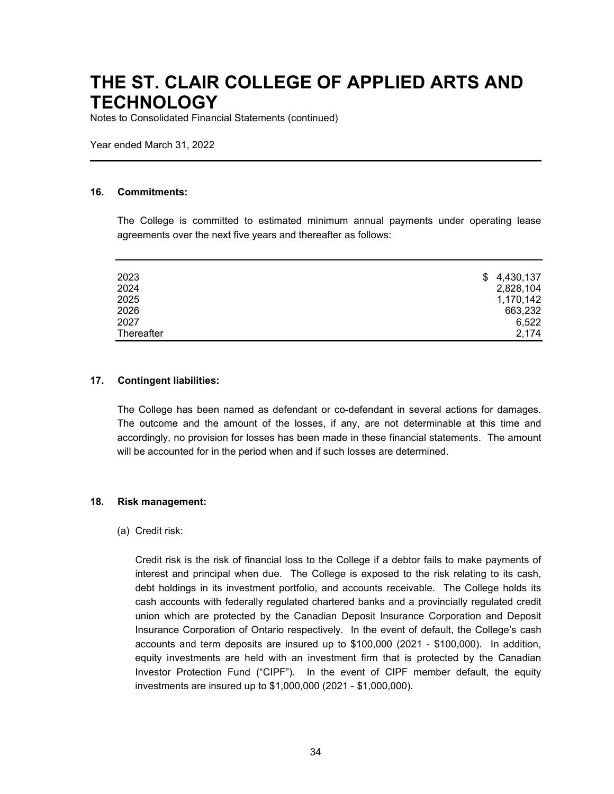Notes to Consolidated Financial Statements (continued)

Year ended March 31, 2022

#### **16. Commitments:**

The College is committed to estimated minimum annual payments under operating lease agreements over the next five years and thereafter as follows:

| 2023       | \$4,430,137 |
|------------|-------------|
| 2024       | 2,828,104   |
| 2025       | 1,170,142   |
| 2026       | 663,232     |
| 2027       | 6,522       |
| Thereafter | 2,174       |

#### **17. Contingent liabilities:**

The College has been named as defendant or co-defendant in several actions for damages. The outcome and the amount of the losses, if any, are not determinable at this time and accordingly, no provision for losses has been made in these financial statements. The amount will be accounted for in the period when and if such losses are determined.

#### **18. Risk management:**

#### (a) Credit risk:

Credit risk is the risk of financial loss to the College if a debtor fails to make payments of interest and principal when due. The College is exposed to the risk relating to its cash, debt holdings in its investment portfolio, and accounts receivable. The College holds its cash accounts with federally regulated chartered banks and a provincially regulated credit union which are protected by the Canadian Deposit Insurance Corporation and Deposit Insurance Corporation of Ontario respectively. In the event of default, the College's cash accounts and term deposits are insured up to \$100,000 (2021 - \$100,000). In addition, equity investments are held with an investment firm that is protected by the Canadian Investor Protection Fund ("CIPF"). In the event of CIPF member default, the equity investments are insured up to \$1,000,000 (2021 - \$1,000,000).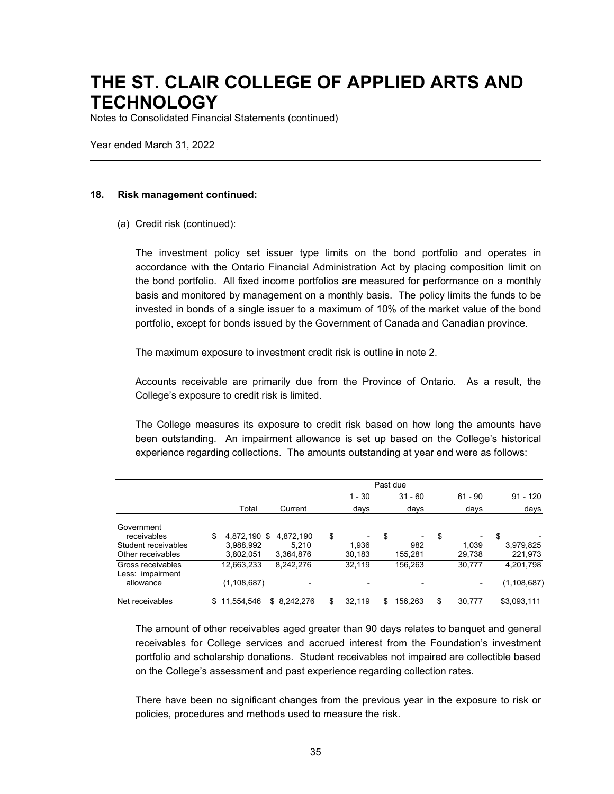Notes to Consolidated Financial Statements (continued)

Year ended March 31, 2022

#### **18. Risk management continued:**

(a) Credit risk (continued):

The investment policy set issuer type limits on the bond portfolio and operates in accordance with the Ontario Financial Administration Act by placing composition limit on the bond portfolio. All fixed income portfolios are measured for performance on a monthly basis and monitored by management on a monthly basis. The policy limits the funds to be invested in bonds of a single issuer to a maximum of 10% of the market value of the bond portfolio, except for bonds issued by the Government of Canada and Canadian province.

The maximum exposure to investment credit risk is outline in note 2.

Accounts receivable are primarily due from the Province of Ontario. As a result, the College's exposure to credit risk is limited.

The College measures its exposure to credit risk based on how long the amounts have been outstanding. An impairment allowance is set up based on the College's historical experience regarding collections. The amounts outstanding at year end were as follows:

|                                          | Past due               |                    |    |                 |    |                          |    |                          |                      |
|------------------------------------------|------------------------|--------------------|----|-----------------|----|--------------------------|----|--------------------------|----------------------|
|                                          |                        |                    |    | $1 - 30$        |    | $31 - 60$                |    | $61 - 90$                | $91 - 120$           |
|                                          | Total                  | Current            |    | days            |    | days                     |    | days                     | days                 |
| Government<br>receivables                | \$<br>4,872,190 \$     | 4.872.190          | \$ |                 | \$ | $\overline{\phantom{0}}$ | \$ | $\overline{\phantom{0}}$ | \$                   |
| Student receivables<br>Other receivables | 3.988.992<br>3,802,051 | 5.210<br>3,364,876 |    | 1.936<br>30,183 |    | 982<br>155,281           |    | 1.039<br>29,738          | 3,979,825<br>221,973 |
| Gross receivables<br>Less: impairment    | 12,663,233             | 8,242,276          |    | 32,119          |    | 156,263                  |    | 30,777                   | 4,201,798            |
| allowance                                | (1, 108, 687)          |                    |    |                 |    |                          |    | $\overline{\phantom{0}}$ | (1, 108, 687)        |
| Net receivables                          | \$<br>11.554.546       | \$ 8.242.276       | \$ | 32.119          | \$ | 156,263                  | \$ | 30.777                   | \$3,093,111          |

The amount of other receivables aged greater than 90 days relates to banquet and general receivables for College services and accrued interest from the Foundation's investment portfolio and scholarship donations. Student receivables not impaired are collectible based on the College's assessment and past experience regarding collection rates.

There have been no significant changes from the previous year in the exposure to risk or policies, procedures and methods used to measure the risk.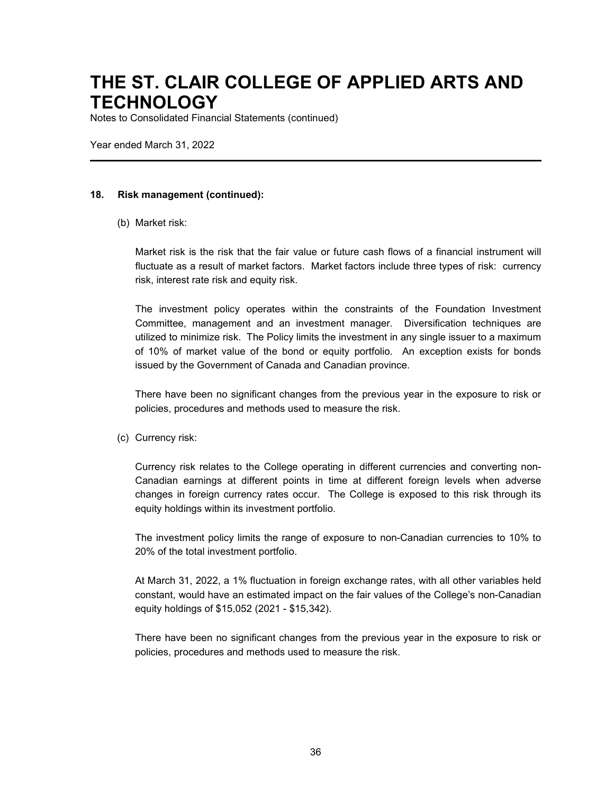Notes to Consolidated Financial Statements (continued)

Year ended March 31, 2022

#### **18. Risk management (continued):**

(b) Market risk:

Market risk is the risk that the fair value or future cash flows of a financial instrument will fluctuate as a result of market factors. Market factors include three types of risk: currency risk, interest rate risk and equity risk.

The investment policy operates within the constraints of the Foundation Investment Committee, management and an investment manager. Diversification techniques are utilized to minimize risk. The Policy limits the investment in any single issuer to a maximum of 10% of market value of the bond or equity portfolio. An exception exists for bonds issued by the Government of Canada and Canadian province.

There have been no significant changes from the previous year in the exposure to risk or policies, procedures and methods used to measure the risk.

(c) Currency risk:

Currency risk relates to the College operating in different currencies and converting non-Canadian earnings at different points in time at different foreign levels when adverse changes in foreign currency rates occur. The College is exposed to this risk through its equity holdings within its investment portfolio.

The investment policy limits the range of exposure to non-Canadian currencies to 10% to 20% of the total investment portfolio.

At March 31, 2022, a 1% fluctuation in foreign exchange rates, with all other variables held constant, would have an estimated impact on the fair values of the College's non-Canadian equity holdings of \$15,052 (2021 - \$15,342).

There have been no significant changes from the previous year in the exposure to risk or policies, procedures and methods used to measure the risk.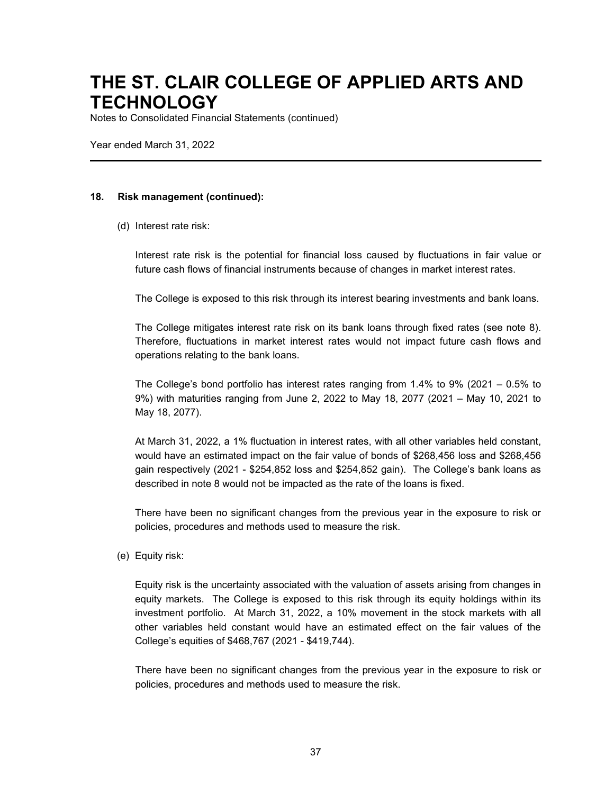Notes to Consolidated Financial Statements (continued)

Year ended March 31, 2022

#### **18. Risk management (continued):**

(d) Interest rate risk:

Interest rate risk is the potential for financial loss caused by fluctuations in fair value or future cash flows of financial instruments because of changes in market interest rates.

The College is exposed to this risk through its interest bearing investments and bank loans.

The College mitigates interest rate risk on its bank loans through fixed rates (see note 8). Therefore, fluctuations in market interest rates would not impact future cash flows and operations relating to the bank loans.

The College's bond portfolio has interest rates ranging from 1.4% to 9% (2021 – 0.5% to 9%) with maturities ranging from June 2, 2022 to May 18, 2077 (2021 – May 10, 2021 to May 18, 2077).

At March 31, 2022, a 1% fluctuation in interest rates, with all other variables held constant, would have an estimated impact on the fair value of bonds of \$268,456 loss and \$268,456 gain respectively (2021 - \$254,852 loss and \$254,852 gain). The College's bank loans as described in note 8 would not be impacted as the rate of the loans is fixed.

There have been no significant changes from the previous year in the exposure to risk or policies, procedures and methods used to measure the risk.

(e) Equity risk:

Equity risk is the uncertainty associated with the valuation of assets arising from changes in equity markets. The College is exposed to this risk through its equity holdings within its investment portfolio. At March 31, 2022, a 10% movement in the stock markets with all other variables held constant would have an estimated effect on the fair values of the College's equities of \$468,767 (2021 - \$419,744).

There have been no significant changes from the previous year in the exposure to risk or policies, procedures and methods used to measure the risk.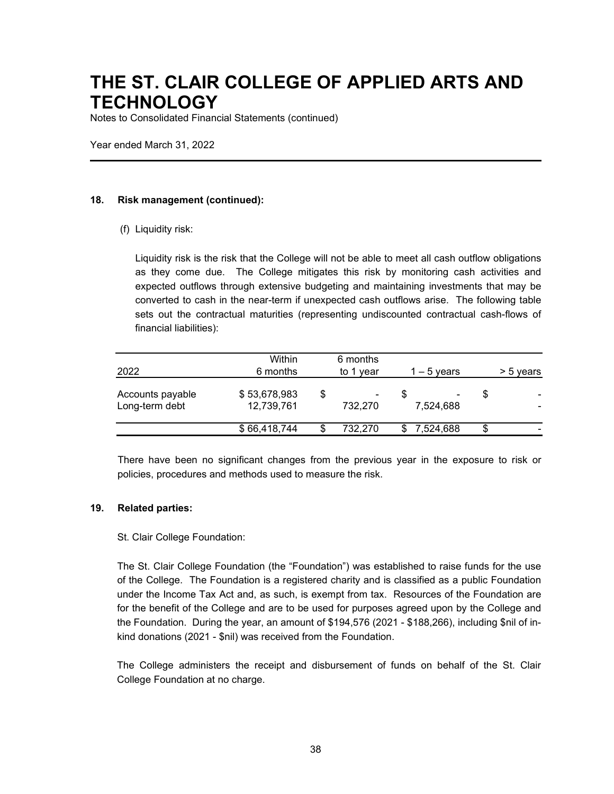Notes to Consolidated Financial Statements (continued)

Year ended March 31, 2022

#### **18. Risk management (continued):**

(f) Liquidity risk:

Liquidity risk is the risk that the College will not be able to meet all cash outflow obligations as they come due. The College mitigates this risk by monitoring cash activities and expected outflows through extensive budgeting and maintaining investments that may be converted to cash in the near-term if unexpected cash outflows arise. The following table sets out the contractual maturities (representing undiscounted contractual cash-flows of financial liabilities):

| 2022                               | Within<br>6 months         |    | 6 months<br>to 1 year | $1 - 5$ years |    | > 5 years |
|------------------------------------|----------------------------|----|-----------------------|---------------|----|-----------|
| Accounts payable<br>Long-term debt | \$53,678,983<br>12,739,761 | \$ | ۰<br>732.270          | 7.524.688     | S  |           |
|                                    | \$66,418,744               | S  | 732.270               | 7,524,688     | \$ |           |

There have been no significant changes from the previous year in the exposure to risk or policies, procedures and methods used to measure the risk.

#### **19. Related parties:**

#### St. Clair College Foundation:

The St. Clair College Foundation (the "Foundation") was established to raise funds for the use of the College. The Foundation is a registered charity and is classified as a public Foundation under the Income Tax Act and, as such, is exempt from tax. Resources of the Foundation are for the benefit of the College and are to be used for purposes agreed upon by the College and the Foundation. During the year, an amount of \$194,576 (2021 - \$188,266), including \$nil of inkind donations (2021 - \$nil) was received from the Foundation.

The College administers the receipt and disbursement of funds on behalf of the St. Clair College Foundation at no charge.